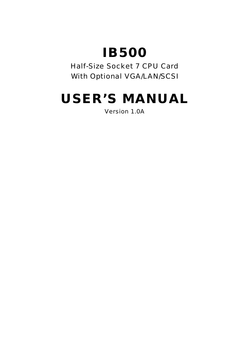# **IB500**

Half-Size Socket 7 CPU Card With Optional VGA/LAN/SCSI

# **USER'S MANUAL**

Version 1.0A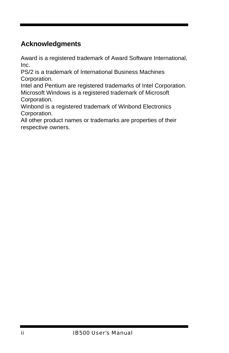### **Acknowledgments**

Award is a registered trademark of Award Software International, Inc.

PS/2 is a trademark of International Business Machines Corporation.

Intel and Pentium are registered trademarks of Intel Corporation. Microsoft Windows is a registered trademark of Microsoft Corporation.

Winbond is a registered trademark of Winbond Electronics Corporation.

All other product names or trademarks are properties of their respective owners.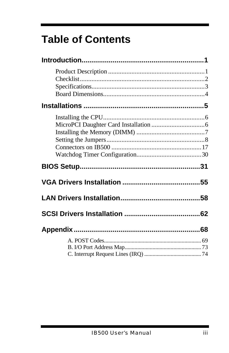# **Table of Contents**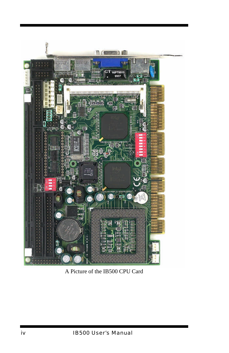

A Picture of the IB500 CPU Card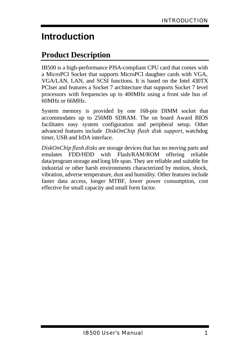# **Introduction**

# **Product Description**

IB500 is a high-performance PISA-compliant CPU card that comes with a MicroPCI Socket that supports MicroPCI daughter cards with VGA, VGA/LAN, LAN, and SCSI functions. It is based on the Intel 430TX PCIset and features a Socket 7 architecture that supports Socket 7 level processors with frequencies up to 400MHz using a front side bus of 60MHz or 66MHz.

System memory is provided by one 168-pin DIMM socket that accommodates up to 256MB SDRAM. The on board Award BIOS facilitates easy system configuration and peripheral setup. Other advanced features include *DiskOnChip flash disk support*, watchdog timer, USB and IrDA interface.

*DiskOnChip flash disks* are storage devices that has no moving parts and emulates FDD/HDD with Flash/RAM/ROM offering reliable data/program storage and long life span. They are reliable and suitable for industrial or other harsh environments characterized by motion, shock, vibration, adverse temperature, dust and humidity. Other features include faster data access, longer MTBF, lower power consumption, cost effective for small capacity and small form factor.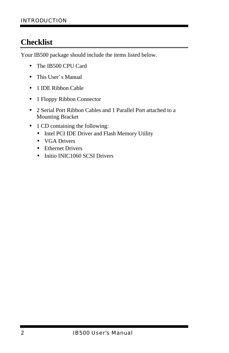# **Checklist**

Your IB500 package should include the items listed below.

- **·** The IB500 CPU Card
- **·** This User's Manual
- **·** 1 IDE Ribbon Cable
- **·** 1 Floppy Ribbon Connector
- **·** 2 Serial Port Ribbon Cables and 1 Parallel Port attached to a Mounting Bracket
- **·** 1 CD containing the following:
	- **·** Intel PCI IDE Driver and Flash Memory Utility
	- **·** VGA Drivers
	- **·** Ethernet Drivers
	- **·** Initio INIC1060 SCSI Drivers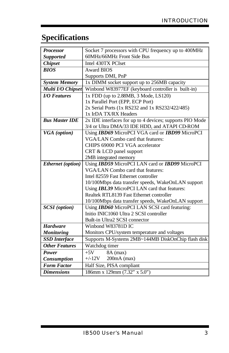# **Specifications**

| <b>Processor</b>      | Socket 7 processors with CPU frequency up to 400MHz      |
|-----------------------|----------------------------------------------------------|
| <b>Supported</b>      | 60MHz/66MHz Front Side Bus                               |
| <b>Chipset</b>        | Intel 430TX PCIset                                       |
| <b>BIOS</b>           | <b>Award BIOS</b>                                        |
|                       | Supports DMI, PnP                                        |
| <b>System Memory</b>  | 1x DIMM socket support up to 256MB capacity              |
| Multi I/O Chipset     | Winbond W83977EF (keyboard controller is built-in)       |
| <b>I/O</b> Features   | 1x FDD (up to 2.88MB, 3 Mode, LS120)                     |
|                       | 1x Parallel Port (EPP, ECP Port)                         |
|                       | 2x Serial Ports (1x RS232 and 1x RS232/422/485)          |
|                       | 1x IrDA TX/RX Headers                                    |
| <b>Bus Master IDE</b> | 2x IDE interfaces for up to 4 devices; supports PIO Mode |
|                       | 3/4 or Ultra DMA/33 IDE HDD, and ATAPI CD-ROM            |
| VGA (option)          | Using IBD69 MicroPCI VGA card or IBD99 MicroPCI          |
|                       | <b>VGA/LAN</b> Combo card that features:                 |
|                       | CHIPS 69000 PCI VGA accelerator                          |
|                       | CRT & LCD panel support                                  |
|                       | 2MB integrated memory                                    |
| Ethernet (option)     | Using IBD59 MicroPCI LAN card or IBD99 MicroPCI          |
|                       | VGA/LAN Combo card that features:                        |
|                       | Intel 82559 Fast Ethernet controller                     |
|                       | 10/100Mbps data transfer speeds, WakeOnLAN support       |
|                       | Using IBL39 MicroPCI LAN card that features:             |
|                       | Realtek RTL8139 Fast Ethernet controller                 |
|                       | 10/100Mbps data transfer speeds, WakeOnLAN support       |
| <b>SCSI</b> (option)  | Using <b>IBD60</b> MicroPCI LAN SCSI card featuring:     |
|                       | Initio INIC1060 Ultra 2 SCSI controller                  |
|                       | Built-in Ultra2 SCSI connector                           |
| <b>Hardware</b>       | Winbond W83781D IC                                       |
| <b>Monitoring</b>     | Monitors CPU/system temperature and voltages             |
| <b>SSD</b> Interface  | Supports M-Systems 2MB~144MB DiskOnChip flash disk       |
| <b>Other Features</b> | Watchdog timer                                           |
| Power                 | 8A (max)<br>$+5V$                                        |
| <b>Consumption</b>    | $+/-12V$ 200mA (max)                                     |
| <b>Form Factor</b>    | Half Size, PISA compliant                                |
| <b>Dimensions</b>     | 186mm x 129mm (7.32" x 5.0")                             |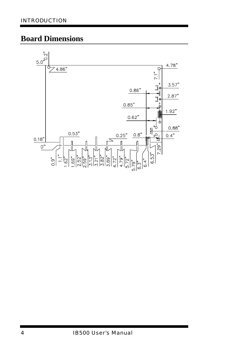### **Board Dimensions**

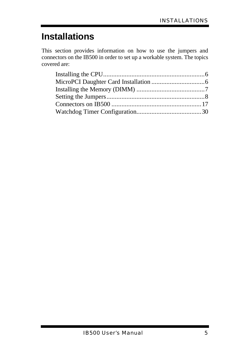# **Installations**

This section provides information on how to use the jumpers and connectors on the IB500 in order to set up a workable system. The topics covered are: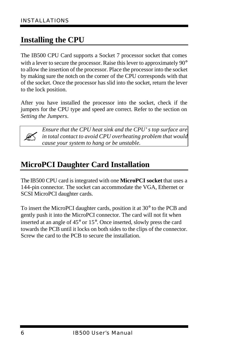# **Installing the CPU**

The IB500 CPU Card supports a Socket 7 processor socket that comes with a lever to secure the processor. Raise this lever to approximately 90<sup>°</sup> to allow the insertion of the processor. Place the processor into the socket by making sure the notch on the corner of the CPU corresponds with that of the socket. Once the processor has slid into the socket, return the lever to the lock position.

After you have installed the processor into the socket, check if the jumpers for the CPU type and speed are correct. Refer to the section on *Setting the Jumpers*.



*Ensure that the CPU heat sink and the CPU's top surface are in total contact to avoid CPU overheating problem that would cause your system to hang or be unstable.* 

# **MicroPCI Daughter Card Installation**

The IB500 CPU card is integrated with one **MicroPCI socket** that uses a 144-pin connector. The socket can accommodate the VGA, Ethernet or SCSI MicroPCI daughter cards.

To insert the MicroPCI daughter cards, position it at 30° to the PCB and gently push it into the MicroPCI connector. The card will not fit when inserted at an angle of 45° or 15°. Once inserted, slowly press the card towards the PCB until it locks on both sides to the clips of the connector. Screw the card to the PCB to secure the installation.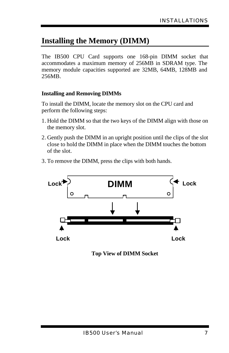## **Installing the Memory (DIMM)**

The IB500 CPU Card supports one 168-pin DIMM socket that accommodates a maximum memory of 256MB in SDRAM type. The memory module capacities supported are 32MB, 64MB, 128MB and 256MB.

#### **Installing and Removing DIMMs**

To install the DIMM, locate the memory slot on the CPU card and perform the following steps:

- 1. Hold the DIMM so that the two keys of the DIMM align with those on the memory slot.
- 2. Gently push the DIMM in an upright position until the clips of the slot close to hold the DIMM in place when the DIMM touches the bottom of the slot.
- 3. To remove the DIMM, press the clips with both hands.



**Top View of DIMM Socket**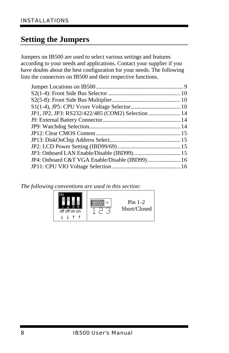### **Setting the Jumpers**

Jumpers on IB500 are used to select various settings and features according to your needs and applications. Contact your supplier if you have doubts about the best configuration for your needs. The following lists the connectors on IB500 and their respective functions.

| JP1, JP2, JP3: RS232/422/485 (COM2) Selection  14 |  |
|---------------------------------------------------|--|
|                                                   |  |
|                                                   |  |
|                                                   |  |
|                                                   |  |
|                                                   |  |
|                                                   |  |
|                                                   |  |
|                                                   |  |

*The following conventions are used in this section:*

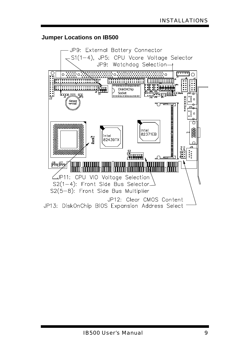#### **Jumper Locations on IB500**

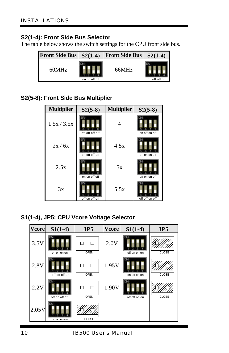#### **S2(1-4): Front Side Bus Selector**

The table below shows the switch settings for the CPU front side bus.

| <b>Front Side Bus</b> | $S2(1-4)$     | <b>Front Side Bus</b> | $S2(1-4)$       |
|-----------------------|---------------|-----------------------|-----------------|
| 60MHz                 | on on off off | 66MHz                 | off off off off |

#### **S2(5-8): Front Side Bus Multiplier**

| <b>Multiplier</b> | $S2(5-8)$       | <b>Multiplier</b> | $S2(5-8)$      |
|-------------------|-----------------|-------------------|----------------|
| 1.5x / 3.5x       | off off off off | 4                 | on off on off  |
| 2x/6x             | on off off off  | 4.5x              | on on on off   |
| 2.5x              | on on off off   | 5x                | off on on off  |
| 3x                | off on off off  | 5.5x              | off off on off |

**S1(1-4), JP5: CPU Vcore Voltage Selector**

| <b>Vcore</b> | $S1(1-4)$            | JP5                   | <b>V</b> core | $S1(1-4)$     | JP5          |
|--------------|----------------------|-----------------------|---------------|---------------|--------------|
| 3.5V         | on on on on          | П<br>П<br><b>OPEN</b> | 2.0V          | off on on on  | <b>CLOSE</b> |
| 2.8V         | ГN<br>off off off on | п<br>п<br><b>OPEN</b> | 1.95V         | on off on on  | CLOSE        |
| 2.2V         | off on off off       | □<br>п<br><b>OPEN</b> | 1.90V         | off off on on | <b>CLOSE</b> |
| 2.05V        | on on on on          | <b>CLOSE</b>          |               |               |              |

*10 IB500 User's Manual*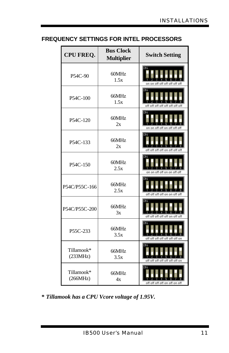#### **FREQUENCY SETTINGS FOR INTEL PROCESSORS**

| <b>CPU FREQ.</b>       | <b>Bus Clock</b><br><b>Multiplier</b> | <b>Switch Setting</b>          |
|------------------------|---------------------------------------|--------------------------------|
| P54C-90                | 60MHz<br>1.5x                         | on on off off off off off off  |
| P54C-100               | 66MHz<br>1.5x                         | off off off off off off off    |
| P54C-120               | 60MHz<br>2x                           | on on off off on off off off   |
| P54C-133               | 66MHz<br>2x                           | off off off on off off off     |
| P54C-150               | 60MHz<br>2.5x                         | on on off off on on off off    |
| P54C/P55C-166          | 66MHz<br>2.5x                         | off off off on on off off      |
| P54C/P55C-200          | 66MHz<br>3x                           | off off off off off on off off |
| P55C-233               | 66MHz<br>3.5x                         | off off off off off off on     |
| Tillamook*<br>(233MHz) | 66MHz<br>3.5x                         | off off off off off off on     |
| Tillamook*<br>(266MHz) | 66MHz<br>4x                           | off off off off on off on off  |

**\*** *Tillamook has a CPU Vcore voltage of 1.95V.*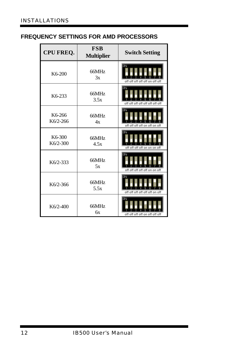#### **FREQUENCY SETTINGS FOR AMD PROCESSORS**

| <b>CPU FREQ.</b>   | <b>FSB</b><br><b>Multiplier</b> | <b>Switch Setting</b>          |
|--------------------|---------------------------------|--------------------------------|
| K6-200             | 66MHz<br>3x                     | off off off off off on off off |
| K6-233             | 66MHz<br>3.5x                   | off off off off off off off    |
| K6-266<br>K6/2-266 | 66MHz<br>4x                     | off off off on off on off      |
| K6-300<br>K6/2-300 | 66MHz<br>4.5x                   | off off off off on on on off   |
| $K6/2-333$         | 66MHz<br>5x                     | off off off off off on on off  |
| K6/2-366           | 66MHz<br>5.5x                   | off off off off off on off     |
| $K6/2-400$         | 66MHz<br>бx                     | off off off off on off off off |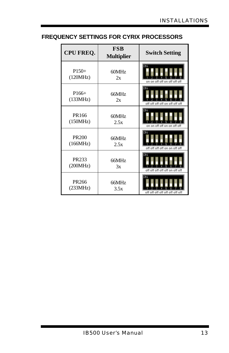#### **FREQUENCY SETTINGS FOR CYRIX PROCESSORS**

| <b>CPU FREQ.</b>         | <b>FSB</b><br><b>Multiplier</b> | <b>Switch Setting</b>           |
|--------------------------|---------------------------------|---------------------------------|
| $P150+$<br>(120MHz)      | 60MHz<br>2x                     | on on off off on off off off    |
| $P166+$<br>(133MHz)      | 66MHz<br>2x                     | off off off off on off off off  |
| PR166<br>(150MHz)        | 60MHz<br>2.5x                   | on on off off on on off off     |
| <b>PR200</b><br>(166MHz) | 66MHz<br>2.5x                   | off off off on on off off       |
| PR233<br>(200MHz)        | 66MHz<br>3x                     | off off off off off on off off  |
| PR266<br>(233MHz)        | 66MHz<br>3.5x                   | off off off off off off off off |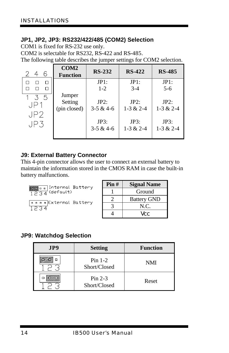#### **JP1, JP2, JP3: RS232/422/485 (COM2) Selection**

COM1 is fixed for RS-232 use only.

COM2 is selectable for RS232, RS-422 and RS-485.

The following table describes the jumper settings for COM2 selection.

| 6                                  | <b>COM2</b><br><b>Function</b>    | <b>RS-232</b>           | <b>RS-422</b>           | <b>RS-485</b>           |
|------------------------------------|-----------------------------------|-------------------------|-------------------------|-------------------------|
| П                                  |                                   | JPI:                    | JPI:                    | JPI:                    |
|                                    |                                   | $1 - 2$                 | $3 - 4$                 | $5-6$                   |
| - 5<br>$\mathcal{F}$<br>JP.<br>JP2 | Jumper<br>Setting<br>(pin closed) | JP2:<br>$3 - 5 & 4 - 6$ | JP2:<br>$1 - 3 & 2 - 4$ | JP2:<br>$1 - 3 & 2 - 4$ |
| JP3                                |                                   | JP3:<br>$3 - 5 & 4 - 6$ | JP3:<br>$1 - 3 & 2 - 4$ | JP3:<br>$1 - 3 & 2 - 4$ |

#### **J9: External Battery Connector**

This 4-pin connector allows the user to connect an external battery to maintain the information stored in the CMOS RAM in case the built-in battery malfunctions.

**1234** General Battery<br>1234 (default)

 $\boxed{\frac{p \cdot p \cdot p}{1234}}$ External Battery

| $\text{Pin }#$ | <b>Signal Name</b> |
|----------------|--------------------|
|                | Ground             |
|                | <b>Battery GND</b> |
|                | N.C.               |
|                | Vcc                |

#### **JP9: Watchdog Selection**

| JP9 | <b>Setting</b>            | <b>Function</b> |
|-----|---------------------------|-----------------|
|     | $Pin$ 1-2<br>Short/Closed | <b>NMI</b>      |
|     | $Pin 2-3$<br>Short/Closed | Reset           |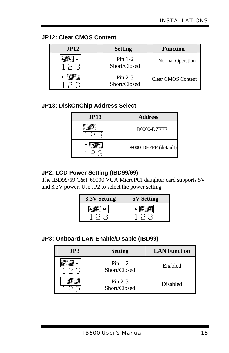#### **JP12: Clear CMOS Content**

| JPI2 | <b>Setting</b>            | <b>Function</b>           |
|------|---------------------------|---------------------------|
|      | $Pin$ 1-2<br>Short/Closed | Normal Operation          |
|      | $Pin 2-3$<br>Short/Closed | <b>Clear CMOS Content</b> |

#### **JP13: DiskOnChip Address Select**

| JPI3 | <b>Address</b>        |
|------|-----------------------|
| n    | D0000-D7FFF           |
|      | D8000-DFFFF (default) |

#### **JP2: LCD Power Setting (IBD99/69)**

The IBD99/69 C&T 69000 VGA MicroPCI daughter card supports 5V and 3.3V power. Use JP2 to select the power setting.

| 3.3V Setting | <b>5V Setting</b> |
|--------------|-------------------|
|              |                   |

#### **JP3: Onboard LAN Enable/Disable (IBD99)**

| JP3 | <b>Setting</b>            | <b>LAN Function</b> |
|-----|---------------------------|---------------------|
|     | $Pin$ 1-2<br>Short/Closed | Enabled             |
|     | Pin $2-3$<br>Short/Closed | <b>Disabled</b>     |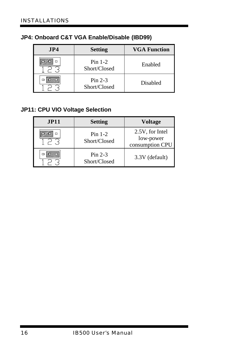|  |  |  |  | JP4: Onboard C&T VGA Enable/Disable (IBD99) |  |
|--|--|--|--|---------------------------------------------|--|
|--|--|--|--|---------------------------------------------|--|

| JP4 | <b>Setting</b>            | <b>VGA Function</b> |
|-----|---------------------------|---------------------|
|     | $Pin$ 1-2<br>Short/Closed | Enabled             |
|     | $Pin 2-3$<br>Short/Closed | Disabled            |

#### **JP11: CPU VIO Voltage Selection**

| JPI1 | <b>Setting</b>            | <b>Voltage</b>                                  |
|------|---------------------------|-------------------------------------------------|
| п    | $Pin$ 1-2<br>Short/Closed | 2.5V, for Intel<br>low-power<br>consumption CPU |
|      | $Pin 2-3$<br>Short/Closed | 3.3V (default)                                  |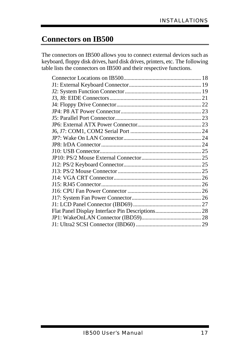### **Connectors on IB500**

The connectors on IB500 allows you to connect external devices such as keyboard, floppy disk drives, hard disk drives, printers, etc. The following table lists the connectors on IB500 and their respective functions.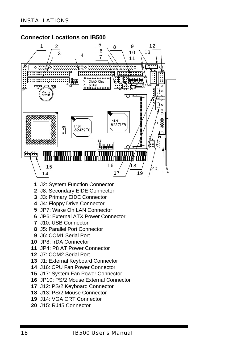#### **Connector Locations on IB500**



- J2: System Function Connector
- J8: Secondary EIDE Connector
- J3: Primary EIDE Connector
- J4: Floppy Drive Connector
- JP7: Wake On LAN Connector
- JP6: External ATX Power Connector
- J10: USB Connector
- J5: Parallel Port Connector
- J6: COM1 Serial Port
- JP8: IrDA Connector
- JP4: P8 AT Power Connector
- J7: COM2 Serial Port
- J1: External Keyboard Connector
- J16: CPU Fan Power Connector
- J17: System Fan Power Connector
- JP10: PS/2 Mouse External Connector
- J12: PS/2 Keyboard Connector
- J13: PS/2 Mouse Connector
- J14: VGA CRT Connector
- J15: RJ45 Connector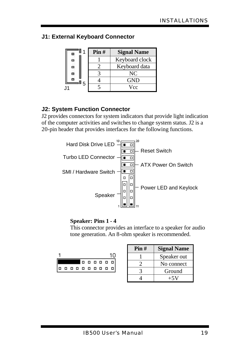#### **J1: External Keyboard Connector**

| Pin# | <b>Signal Name</b> |
|------|--------------------|
|      | Keyboard clock     |
|      | Keyboard data      |
|      | NC                 |
|      | GND                |
|      | Vcc                |

#### **J2: System Function Connector**

J2 provides connectors for system indicators that provide light indication of the computer activities and switches to change system status. J2 is a 20-pin header that provides interfaces for the following functions.



#### **Speaker: Pins 1 - 4**

This connector provides an interface to a speaker for audio tone generation. An 8-ohm speaker is recommended.



| Pin# | <b>Signal Name</b> |
|------|--------------------|
|      | Speaker out        |
|      | No connect         |
|      | Ground             |
|      | $+5V$              |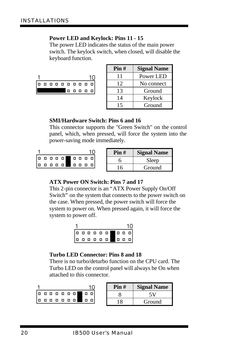#### **Power LED and Keylock: Pins 11 - 15**

The power LED indicates the status of the main power switch. The keylock switch, when closed, will disable the keyboard function.



| $\text{Pin }#$ | <b>Signal Name</b> |
|----------------|--------------------|
| 11             | Power LED          |
| 12             | No connect         |
| 13             | Ground             |
| 14             | Keylock            |
| 15             | Ground             |

#### **SMI/Hardware Switch: Pins 6 and 16**

This connector supports the "Green Switch" on the control panel, which, when pressed, will force the system into the power-saving mode immediately.

|  |  |  | 00000 |  |  |
|--|--|--|-------|--|--|
|  |  |  |       |  |  |

| Pin#     | <b>Signal Name</b> |
|----------|--------------------|
|          | Sleep              |
| <b>6</b> | Ground             |

#### **ATX Power ON Switch: Pins 7 and 17**

This 2-pin connector is an "ATX Power Supply On/Off Switch" on the system that connects to the power switch on the case. When pressed, the power switch will force the system to power on. When pressed again, it will force the system to power off.



#### **Turbo LED Connector: Pins 8 and 18**

There is no turbo/deturbo function on the CPU card. The Turbo LED on the control panel will always be On when attached to this connector.

|    |  |  |  |                         | Pin# | <b>Signal Name</b> |
|----|--|--|--|-------------------------|------|--------------------|
| םו |  |  |  | .                       |      |                    |
|    |  |  |  | $[0 0 0 0 0 0 0 0 0 0]$ | -8   | Ground             |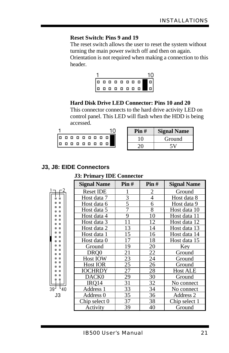#### **Reset Switch: Pins 9 and 19**

The reset switch allows the user to reset the system without turning the main power switch off and then on again.

Orientation is not required when making a connection to this header.

|  |  |  |  | 10 |
|--|--|--|--|----|
|  |  |  |  |    |
|  |  |  |  |    |

#### **Hard Disk Drive LED Connector: Pins 10 and 20**

This connector connects to the hard drive activity LED on control panel. This LED will flash when the HDD is being accessed.

| Pin# | <b>Signal Name</b> |
|------|--------------------|
| 10   | Ground             |
| 20   |                    |

#### **J3, J8: EIDE Connectors**

39

#### **J3: Primary IDE Connector**

|            | <b>Signal Name</b> | Pin# | Pin#            | <b>Signal Name</b> |
|------------|--------------------|------|-----------------|--------------------|
|            | <b>Reset IDE</b>   |      | 2               | Ground             |
| o o        | Host data 7        | 3    | 4               | Host data 8        |
| . .        | Host data 6        | 5    | 6               | Host data 9        |
| . .<br>. . | Host data 5        | 7    | 8               | Host data 10       |
| . .        | Host data 4        | 9    | 10              | Host data 11       |
| . .<br>. . | Host data 3        | 11   | 12              | Host data 12       |
| . .        | Host data 2        | 13   | 14              | Host data 13       |
| . .<br>. . | Host data 1        | 15   | 16              | Host data 14       |
| . .        | Host data 0        | 17   | 18              | Host data 15       |
| . .        | Ground             | 19   | 20              | Key                |
| o o<br>o o | DRO0               | 21   | 22              | Ground             |
| . .        | <b>Host IOW</b>    | 23   | 24              | Ground             |
| . .<br>. . | <b>Host IOR</b>    | 25   | 26              | Ground             |
| . .        | <b>IOCHRDY</b>     | 27   | 28              | <b>Host ALE</b>    |
| . .        | DACK0              | 29   | 30              | Ground             |
| 9 P        | IRO <sub>14</sub>  | 31   | 32              | No connect         |
| 40         | Address 1          | 33   | 34              | No connect         |
| JЗ         | Address 0          | 35   | $\overline{3}6$ | Address 2          |
|            | Chip select 0      | 37   | 38              | Chip select 1      |
|            | Activity           | 39   | 40              | Ground             |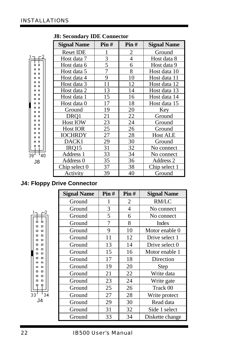|                                       | <b>Signal Name</b> | Pin# | Pin#           | <b>Signal Name</b> |
|---------------------------------------|--------------------|------|----------------|--------------------|
|                                       | <b>Reset IDE</b>   |      | 2              | Ground             |
|                                       | Host data 7        | 3    | $\overline{4}$ | Host data 8        |
| o<br>$\Box$                           | Host data 6        | 5    | 6              | Host data 9        |
| o<br>o<br>$\Box$<br>۰                 | Host data 5        |      | 8              | Host data 10       |
| $\blacksquare$<br>۰                   | Host data 4        | 9    | 10             | Host data 11       |
| o<br>۰<br>$\Box$<br>۰                 | Host data 3        | 11   | 12             | Host data 12       |
| $\blacksquare$<br>۰                   | Host data 2        | 13   | 14             | Host data 13       |
| $\blacksquare$<br>o<br>$\blacksquare$ | Host data 1        | 15   | 16             | Host data 14       |
| $\blacksquare$<br>۰                   | Host data 0        | 17   | 18             | Host data 15       |
| $\blacksquare$<br>o<br>$\blacksquare$ | Ground             | 19   | 20             | Key                |
| $\Box$<br>o                           | DRO1               | 21   | 22             | Ground             |
| $\Box$<br>o<br>$\Box$<br>۰            | <b>Host IOW</b>    | 23   | 24             | Ground             |
| $\Box$                                | <b>Host IOR</b>    | 25   | 26             | Ground             |
| o<br>۰<br>$\Box$                      | <b>IOCHRDY</b>     | 27   | 28             | <b>Host ALE</b>    |
| о                                     | DACK1              | 29   | 30             | Ground             |
| ۰<br>۰                                | IRO15              | 31   | 32             | No connect         |
| 39<br>40                              | Address 1          | 33   | 34             | No connect         |
| J8                                    | Address 0          | 35   | 36             | Address 2          |
|                                       | Chip select 0      | 37   | 38             | Chip select 1      |
|                                       | Activity           | 39   | 40             | Ground             |

 **J8: Secondary IDE Connector**

#### **J4: Floppy Drive Connector**

| <b>Signal Name</b> | Pin# | Pin# | <b>Signal Name</b> |
|--------------------|------|------|--------------------|
| Ground             | 1    | 2    | <b>RM/LC</b>       |
| Ground             | 3    | 4    | No connect         |
| Ground             | 5    | 6    | No connect         |
| Ground             | 7    | 8    | Index              |
| Ground             | 9    | 10   | Motor enable 0     |
| Ground             | 11   | 12   | Drive select 1     |
| Ground             | 13   | 14   | Drive select 0     |
| Ground             | 15   | 16   | Motor enable 1     |
| Ground             | 17   | 18   | Direction          |
| Ground             | 19   | 20   | Step               |
| Ground             | 21   | 22   | Write data         |
| Ground             | 23   | 24   | Write gate         |
| Ground             | 25   | 26   | Track 00           |
| 34<br>Ground       | 27   | 28   | Write protect      |
| Ground             | 29   | 30   | Read data          |
| Ground             | 31   | 32   | Side 1 select      |
| Ground             | 33   | 34   | Diskette change    |

J4

33

o. o  $\Box$  $\Box$  $\Box$  $\Box$  $\Box$  $\Box$  $\Box$  $\Box$  $\Box$  $\Box$  $\Box$  $\Box$  $\begin{array}{ccc} \Box & \Box \end{array}$  $\blacksquare$  $\blacksquare$  $\overline{a}$   $\overline{a}$  $\begin{array}{cc} \Box & \Box \end{array}$  $\Box$  $\Box$  $\begin{array}{ccc} \Box & \Box \end{array}$  $\Box$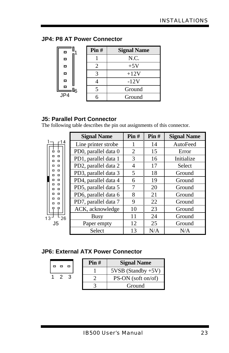#### **JP4: P8 AT Power Connector**

| o                | Pin# | <b>Signal Name</b> |
|------------------|------|--------------------|
| o                |      | N.C.               |
| Ь                |      | $+5V$              |
| о                |      | $+12V$             |
| Ξ                |      | $-12V$             |
| 0G               |      | Ground             |
| $J\overline{P4}$ |      | Ground             |

#### **J5: Parallel Port Connector**

The following table describes the pin out assignments of this connector.

|                            | <b>Signal Name</b>   | Pin# | Pin# | <b>Signal Name</b> |
|----------------------------|----------------------|------|------|--------------------|
| r 14                       | Line printer strobe  | 1    | 14   | AutoFeed           |
| 55                         | PD0, parallel data 0 | 2    | 15   | Error              |
| $\Box$<br>α<br>$\Box$<br>п | PD1, parallel data 1 | 3    | 16   | Initialize         |
| $\Box$<br>п                | PD2, parallel data 2 | 4    | 17   | <b>Select</b>      |
| $\Box$<br>$\Box$<br>п      | PD3, parallel data 3 | 5    | 18   | Ground             |
| $\Box$<br>п<br>$\Box$      | PD4, parallel data 4 | 6    | 19   | Ground             |
| <b>D</b><br>п              | PD5, parallel data 5 | 7    | 20   | Ground             |
| $\Box$<br>п<br>$\Box$      | PD6, parallel data 6 | 8    | 21   | Ground             |
| $\Box$                     | PD7, parallel data 7 | 9    | 22   | Ground             |
| □<br>o                     | ACK, acknowledge     | 10   | 23   | Ground             |
| 13<br>26                   | Busy                 | 11   | 24   | Ground             |
| J5                         | Paper empty          | 12   | 25   | Ground             |
|                            | Select               | 13   | N/A  | N/A                |

#### **JP6: External ATX Power Connector**

|       | Pin# | <b>Signal Name</b>   |
|-------|------|----------------------|
|       |      | $5VSB$ (Standby +5V) |
| 1 2 3 |      | $PS-ON$ (soft on/of) |
|       |      | Ground               |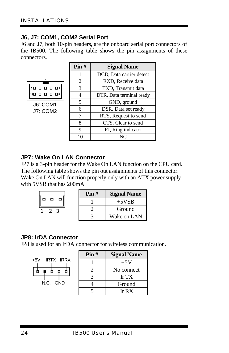#### **J6, J7: COM1, COM2 Serial Port**

J6 and J7, both 10-pin headers, are the onboard serial port connectors of the IB500. The following table shows the pin assignments of these connectors.

|  | , , , , ,<br>, , , ,        | 01       |  |
|--|-----------------------------|----------|--|
|  |                             | $\Box$ 6 |  |
|  | J6: COM1<br><b>J7: COM2</b> |          |  |
|  |                             |          |  |

| Pin# | <b>Signal Name</b>       |
|------|--------------------------|
| 1    | DCD, Data carrier detect |
| 2    | RXD, Receive data        |
| 3    | TXD, Transmit data       |
| 4    | DTR, Data terminal ready |
| 5    | GND, ground              |
| 6    | DSR, Data set ready      |
| 7    | RTS, Request to send     |
| 8    | CTS, Clear to send       |
| 9    | RI, Ring indicator       |
| 10   |                          |

#### **JP7: Wake On LAN Connector**

JP7 is a 3-pin header for the Wake On LAN function on the CPU card. The following table shows the pin out assignments of this connector. Wake On LAN will function properly only with an ATX power supply with 5VSB that has 200mA.

|          | Pin# | <b>Signal Name</b> |
|----------|------|--------------------|
| - 0<br>▭ |      | $+5VSB$            |
| 23       |      | Ground             |
|          |      | Wake on LAN        |

#### **JP8: IrDA Connector**

JP8 is used for an IrDA connector for wireless communication.

|                    | Pin# | <b>Signal Name</b>         |
|--------------------|------|----------------------------|
| IRTX IRRX<br>$+5V$ |      | $+5V$                      |
|                    |      | No connect                 |
|                    |      | Ir $TX$                    |
| N.C. GND           |      | Ground                     |
|                    |      | Ir $\mathbf{R} \mathbf{X}$ |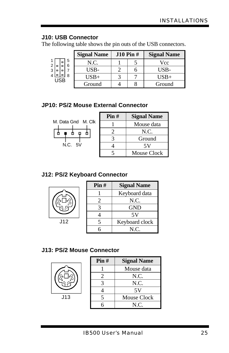#### **J10: USB Connector**

The following table shows the pin outs of the USB connectors.

|                |   | <b>Signal Name</b> | $J10 \text{ Pin }#$ | <b>Signal Name</b> |
|----------------|---|--------------------|---------------------|--------------------|
| $\overline{2}$ | 5 | N.C.               |                     | Vcc                |
| 3<br>o         |   | USB-               |                     | USB-               |
| <b>USB</b>     |   | $USB+$             |                     | USB+               |
|                |   | Ground             |                     | Ground             |

#### **JP10: PS/2 Mouse External Connector**

|            | M. Data Gnd M. Clk |
|------------|--------------------|
|            |                    |
| N.C.<br>5V |                    |

| Pin# | <b>Signal Name</b> |
|------|--------------------|
|      | Mouse data         |
| 2    | N.C.               |
|      | Ground             |
|      | 5V                 |
|      | <b>Mouse Clock</b> |

#### **J12: PS/2 Keyboard Connector**

| ႙ၟႋ<br>ہے. |
|------------|
|            |

|      | $\text{Pin }#$ | <b>Signal Name</b> |
|------|----------------|--------------------|
|      |                | Keyboard data      |
| 's l |                | N.C.               |
|      |                | GND                |
|      |                | 5V                 |
| J12  |                | Keyboard clock     |
|      |                | N.C.               |

#### **J13: PS/2 Mouse Connector**



|     | Pin# | <b>Signal Name</b> |
|-----|------|--------------------|
|     |      | Mouse data         |
| ) ျ |      | N.C.               |
|     |      | N.C.               |
|     |      | 5V                 |
| J13 |      | Mouse Clock        |
|     |      | N.C.               |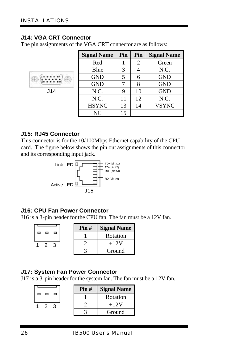#### **J14: VGA CRT Connector**

The pin assignments of the VGA CRT connector are as follows:

| <b>Signal Name</b> | Pin | Pin | <b>Signal Name</b> |
|--------------------|-----|-----|--------------------|
| Red                |     | 2   | Green              |
| Blue               | 3   |     | N.C.               |
| <b>GND</b>         |     | 6   | <b>GND</b>         |
| <b>GND</b>         |     | 8   | <b>GND</b>         |
| N.C.               |     | 10  | <b>GND</b>         |
| N.C.               | 11  | 12  | N.C.               |
| <b>HSYNC</b>       | 13  | 14  | <b>VSYNC</b>       |
| <b>NC</b>          | 15  |     |                    |

#### **J15: RJ45 Connector**

J14

This connector is for the 10/100Mbps Ethernet capability of the CPU card. The figure below shows the pin out assignments of this connector and its corresponding input jack.



#### **J16: CPU Fan Power Connector**

J16 is a 3-pin header for the CPU fan. The fan must be a 12V fan.

|     | Pin# | <b>Signal Name</b> |
|-----|------|--------------------|
| ▭   |      | Rotation           |
| 2 3 |      | $+12V$             |
|     |      | Ground             |

#### **J17: System Fan Power Connector**

J17 is a 3-pin header for the system fan. The fan must be a 12V fan.

|     | Pin# | <b>Signal Name</b> |
|-----|------|--------------------|
| - 0 |      | Rotation           |
| 2 3 |      | $+12V$             |
|     |      | Ground             |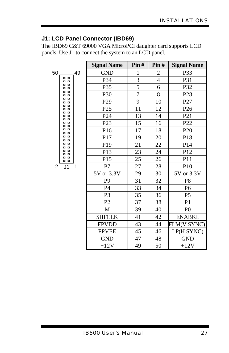#### **J1: LCD Panel Connector (IBD69)**

The IBD69 C&T 69000 VGA MicroPCI daughter card supports LCD panels. Use J1 to connect the system to an LCD panel.

|    |                            |  | <b>Signal Name</b> | Pin#            | Pin#           | <b>Signal Name</b> |                 |
|----|----------------------------|--|--------------------|-----------------|----------------|--------------------|-----------------|
| 50 | 49                         |  | <b>GND</b>         | 1               | 2              | P33                |                 |
|    | . .<br>. .                 |  | P34                | 3               | $\overline{4}$ | <b>P31</b>         |                 |
|    | $\Box$<br>o<br>o           |  |                    | P35             | 5              | 6                  | P32             |
|    | o<br>o<br>o<br>o           |  |                    | P30             | $\overline{7}$ | 8                  | P <sub>28</sub> |
|    | o<br>o<br>ø<br>o           |  | P <sub>29</sub>    | 9               | 10             | P27                |                 |
|    | O<br>o<br>o<br>o<br>o<br>o |  | P <sub>25</sub>    | 11              | 12             | P <sub>26</sub>    |                 |
|    | o<br>o<br>o<br>o           |  |                    | P <sub>24</sub> | 13             | 14                 | P <sub>21</sub> |
|    | o<br>o<br>o<br>O           |  | P <sub>23</sub>    | 15              | 16             | P22                |                 |
|    | o<br>o<br>o<br>α           |  | P16                | 17              | 18             | P <sub>20</sub>    |                 |
|    | o<br>o<br>o<br>O           |  | P17                | 19              | 20             | P18                |                 |
|    | o<br>o<br>o<br>o           |  | P <sub>19</sub>    | 21              | 22             | P <sub>14</sub>    |                 |
|    | o<br>o<br>o<br>۰           |  | P13                | 23              | 24             | P12                |                 |
|    | o<br>$\Box$<br>. .         |  |                    | P15             | 25             | 26                 | P11             |
| 2  | J <sub>1</sub><br>1        |  | P7                 | 27              | 28             | P10                |                 |
|    |                            |  | 5V or 3.3V         | 29              | 30             | 5V or 3.3V         |                 |
|    |                            |  | P <sub>9</sub>     | 31              | 32             | P <sub>8</sub>     |                 |
|    |                            |  |                    | <b>P4</b>       | 33             | 34                 | P <sub>6</sub>  |
|    |                            |  |                    | P3              | 35             | 36                 | P <sub>5</sub>  |
|    |                            |  | P2                 | 37              | 38             | P <sub>1</sub>     |                 |
|    |                            |  | M                  | 39              | 40             | P()                |                 |
|    |                            |  | <b>SHFCLK</b>      | 41              | 42             | <b>ENABKL</b>      |                 |
|    |                            |  | <b>FPVDD</b>       | 43              | 44             | FLM(V SYNC)        |                 |
|    |                            |  | <b>FPVEE</b>       | 45              | 46             | LP(H SYNC)         |                 |
|    |                            |  | <b>GND</b>         | 47              | 48             | <b>GND</b>         |                 |
|    |                            |  | $+12V$             | 49              | 50             | $+12V$             |                 |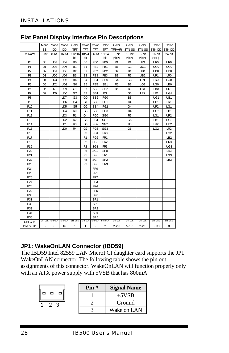#### **Flat Panel Display Interface Pin Descriptions**

|                 |                | Mono Mono       | Mono            | Color                | Color          |                 | Color Color     | Color          | Color          | Color           | Color           | Color           |
|-----------------|----------------|-----------------|-----------------|----------------------|----------------|-----------------|-----------------|----------------|----------------|-----------------|-----------------|-----------------|
|                 | SS             | <b>DD</b>       | <b>DD</b>       | <b>TFT</b>           | <b>TFT</b>     | <b>TFT</b>      | TFT.            | TFT+HR         | STN-SS         | STN-SS          | STN-DD          | STN-DD          |
| Pin Name        | 8-bit          | 8-bit           |                 | 16-bit 9/12/16 18/24 |                | 36-bit          | 18/24           | 8-bit          | 16-bit         | 8-bit           | 16-bit          | 24-bit          |
|                 |                |                 |                 | bit                  | bit            |                 | bit             | (4bP)          | (4bP)          | (4bP)           | (4bP)           |                 |
| P <sub>0</sub>  | D <sub>0</sub> | UD <sub>3</sub> | UD7             | B <sub>0</sub>       | B <sub>0</sub> | FB <sub>0</sub> | FB <sub>0</sub> | R <sub>1</sub> | R <sub>1</sub> | UR1             | UR0             | UR0             |
| P1              | D1             | UD <sub>2</sub> | UD <sub>6</sub> | B1                   | B <sub>1</sub> | FB1             | FB1             | Β1             | G1             | UG1             | UG <sub>0</sub> | UG <sub>0</sub> |
| P <sub>2</sub>  | D <sub>2</sub> | UD1             | UD <sub>5</sub> | B <sub>2</sub>       | B <sub>2</sub> | FB <sub>2</sub> | FB <sub>2</sub> | G <sub>2</sub> | <b>B1</b>      | UB1             | UB <sub>0</sub> | UB <sub>0</sub> |
| P <sub>3</sub>  | D3             | UD <sub>0</sub> | UD <sub>4</sub> | B <sub>3</sub>       | B <sub>3</sub> | FB <sub>3</sub> | FB <sub>3</sub> | B <sub>3</sub> | R <sub>2</sub> | UB <sub>2</sub> | UR1             | LR <sub>0</sub> |
| P <sub>4</sub>  | D <sub>4</sub> | LD <sub>3</sub> | UD <sub>3</sub> | B4                   | <b>B4</b>      | FB4             | SB <sub>0</sub> | G4             | G <sub>3</sub> | LR1             | LR <sub>0</sub> | LG0             |
| P5              | D <sub>5</sub> | LD <sub>2</sub> | UD <sub>2</sub> | G <sub>0</sub>       | B <sub>5</sub> | FB <sub>5</sub> | SB <sub>1</sub> | R <sub>5</sub> | B <sub>2</sub> | LG1             | LG <sub>0</sub> | LB <sub>0</sub> |
| P6              | D6             | LD1             | UD1             | G1                   | B <sub>6</sub> | SB <sub>0</sub> | SB <sub>2</sub> | B <sub>5</sub> | R3             | LB1             | LB <sub>0</sub> | UR1             |
| P7              | D7             | LD <sub>0</sub> | UD <sub>0</sub> | G <sub>2</sub>       | B7             | SB <sub>1</sub> | B <sub>3</sub>  |                | G3             | LR <sub>2</sub> | LR1             | UG1             |
| P <sub>8</sub>  |                |                 | LD7             | G <sub>3</sub>       | G <sub>0</sub> | SB <sub>2</sub> | FG0             |                | B <sub>3</sub> |                 | UG1             | UB1             |
| P <sub>9</sub>  |                |                 | LD <sub>6</sub> | G4                   | G <sub>1</sub> | SB <sub>3</sub> | FG1             |                | R4             |                 | UB1             | LR1             |
| P <sub>10</sub> |                |                 | LD <sub>5</sub> | G <sub>5</sub>       | G <sub>2</sub> | SB4             | FG <sub>2</sub> |                | G4             |                 | UR <sub>2</sub> | LG1             |
| P11             |                |                 | LD4             | R <sub>0</sub>       | G <sub>3</sub> | SB <sub>5</sub> | FG3             |                | <b>B4</b>      |                 | UG <sub>2</sub> | LB1             |
| P12             |                |                 | LD <sub>3</sub> | R <sub>1</sub>       | G4             | FG <sub>0</sub> | SG <sub>0</sub> |                | R <sub>5</sub> |                 | LG1             | UR <sub>2</sub> |
| P13             |                |                 | LD <sub>2</sub> | R <sub>2</sub>       | G <sub>5</sub> | FG1             | SG <sub>1</sub> |                | G <sub>5</sub> |                 | LB1             | UG <sub>2</sub> |
| P14             |                |                 | LD1             | R <sub>3</sub>       | G <sub>6</sub> | FG <sub>2</sub> | SG <sub>2</sub> |                | B <sub>5</sub> |                 | LR <sub>2</sub> | UB <sub>2</sub> |
| P <sub>15</sub> |                |                 | LD <sub>0</sub> | R <sub>4</sub>       | G7             | FG <sub>3</sub> | SG <sub>3</sub> |                | G <sub>6</sub> |                 | LG <sub>2</sub> | LR <sub>2</sub> |
| P <sub>16</sub> |                |                 |                 |                      | R <sub>0</sub> | FG4             | FR <sub>0</sub> |                |                |                 |                 | LG <sub>2</sub> |
| P17             |                |                 |                 |                      | R <sub>1</sub> | FG <sub>5</sub> | FR <sub>1</sub> |                |                |                 |                 | LB <sub>2</sub> |
| P18             |                |                 |                 |                      | R <sub>2</sub> | SG <sub>0</sub> | FR <sub>2</sub> |                |                |                 |                 | UR3             |
| P19             |                |                 |                 |                      | R <sub>3</sub> | SG <sub>1</sub> | FR <sub>3</sub> |                |                |                 |                 | UG <sub>3</sub> |
| P <sub>20</sub> |                |                 |                 |                      | R <sub>4</sub> | SG <sub>2</sub> | SR <sub>0</sub> |                |                |                 |                 | LR3             |
| P <sub>21</sub> |                |                 |                 |                      | R <sub>5</sub> | SG <sub>3</sub> | SR <sub>1</sub> |                |                |                 |                 | LG <sub>3</sub> |
| P <sub>22</sub> |                |                 |                 |                      | R <sub>6</sub> | SG4             | SR <sub>2</sub> |                |                |                 |                 | LB <sub>3</sub> |
| P <sub>23</sub> |                |                 |                 |                      | R7             | SG <sub>5</sub> | SR <sub>3</sub> |                |                |                 |                 |                 |
| P <sub>24</sub> |                |                 |                 |                      |                | FR <sub>0</sub> |                 |                |                |                 |                 |                 |
| P <sub>25</sub> |                |                 |                 |                      |                | FR <sub>1</sub> |                 |                |                |                 |                 |                 |
| P <sub>26</sub> |                |                 |                 |                      |                | FR <sub>2</sub> |                 |                |                |                 |                 |                 |
| P <sub>27</sub> |                |                 |                 |                      |                | FR <sub>3</sub> |                 |                |                |                 |                 |                 |
| P <sub>28</sub> |                |                 |                 |                      |                | FR4             |                 |                |                |                 |                 |                 |
| P <sub>29</sub> |                |                 |                 |                      |                | FR <sub>5</sub> |                 |                |                |                 |                 |                 |
| P30             |                |                 |                 |                      |                | SR <sub>0</sub> |                 |                |                |                 |                 |                 |
| P31             |                |                 |                 |                      |                | SR <sub>1</sub> |                 |                |                |                 |                 |                 |
| P32             |                |                 |                 |                      |                | SR <sub>2</sub> |                 |                |                |                 |                 |                 |
| P33             |                |                 |                 |                      |                | SR <sub>3</sub> |                 |                |                |                 |                 |                 |
| P34             |                |                 |                 |                      |                | SR4             |                 |                |                |                 |                 |                 |
| P35             |                |                 |                 |                      |                | SR <sub>5</sub> |                 |                |                |                 |                 |                 |
| <b>SHFCLK</b>   | <b>SHFCLK</b>  | <b>SHFCLK</b>   | <b>SHFCLK</b>   | <b>SHFCLK</b>        | <b>SHFCLK</b>  | <b>SHFCLK</b>   | <b>SHFCLK</b>   | <b>SHFCLK</b>  | <b>SHFCLK</b>  | <b>SHFCLK</b>   | <b>SHFCLK</b>   | <b>SHFCLK</b>   |
| Pixels/Clk:     | 8              | 8               | 16              | 1                    | $\mathbf{1}$   | $\overline{2}$  | 2               | $2 - 2/3$      | $5 - 1/3$      | $2 - 2/3$       | $5 - 1/3$       | 8               |

#### **JP1: WakeOnLAN Connector (IBD59)**

The IBD59 Intel 82559 LAN MicroPCI daughter card supports the JP1 WakeOnLAN connector. The following table shows the pin out assignments of this connector. WakeOnLAN will function properly only with an ATX power supply with 5VSB that has 800mA.

|                | Pin# | <b>Signal Name</b> |
|----------------|------|--------------------|
|                |      | $+5VSB$            |
| 2 <sup>3</sup> |      | Ground             |
|                |      | Wake on LAN        |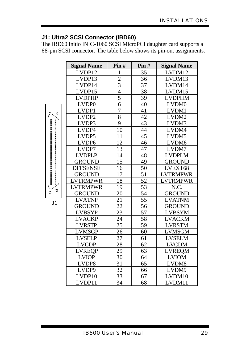#### **J1: Ultra2 SCSI Connector (IBD60)**

J1

 $\frac{8}{6}$ 

The IBD60 Initio INIC-1060 SCSI MicroPCI daughter card supports a 68-pin SCSI connector. The table below shows its pin-out assignments.

| <b>Signal Name</b> | Pin#            | Pin#            | <b>Signal Name</b> |
|--------------------|-----------------|-----------------|--------------------|
| LVDP12             | 1               | 35              | LVDM12             |
| LVDP13             | $\overline{2}$  | 36              | LVDM13             |
| LVDP14             | $\overline{3}$  | 37              | LVDM14             |
| LVDP15             | $\overline{4}$  | 38              | LVDM15             |
| <b>LVDPHP</b>      | 5               | 39              | <b>LVDPHM</b>      |
| LVDP0              | 6               | 40              | LVDM0              |
| LVDP1              | 7               | 41              | LVDM1              |
| LVDP <sub>2</sub>  | 8               | 42              | LVDM2              |
| LVDP3              | 9               | 43              | LVDM3              |
| LVDP4              | 10              | 44              | LVDM4              |
| LVDP5              | 11              | 45              | LVDM5              |
| LVDP <sub>6</sub>  | 12              | 46              | LVDM6              |
| LVDP7              | 13              | 47              | LVDM7              |
| <b>LVDPLP</b>      | 14              | 48              | <b>LVDPLM</b>      |
| <b>GROUND</b>      | 15              | 49              | <b>GROUND</b>      |
| <b>DFFSENSE</b>    | 16              | 50              | LVEXT68            |
| <b>GROUND</b>      | 17              | 51              | <b>LVTRMPWR</b>    |
| <b>LVTRMPWR</b>    | 18              | $\overline{52}$ | <b>LVTRMPWR</b>    |
| <b>LVTRMPWR</b>    | 19              | 53              | N.C.               |
| <b>GROUND</b>      | 20              | 54              | <b>GROUND</b>      |
| <b>LVATNP</b>      | 21              | 55              | <b>LVATNM</b>      |
| <b>GROUND</b>      | 22              | 56              | <b>GROUND</b>      |
| <b>LVBSYP</b>      | 23              | 57              | LVBSYM             |
| <b>LVACKP</b>      | 24              | 58              | LVACKM             |
| <b>LVRSTP</b>      | $\overline{25}$ | 59              | <b>LVRSTM</b>      |
| <b>LVMSGP</b>      | 26              | 60              | LVMSGM             |
| <b>LVSELP</b>      | 27              | 61              | LVSELM             |
| <b>LVCDP</b>       | 28              | 62              | <b>LVCDM</b>       |
| <b>LVREOP</b>      | 29              | 63              | LVREOM             |
| <b>LVIOP</b>       | 30              | 64              | <b>LVIOM</b>       |
| LVDP8              | 31              | 65              | LVDM8              |
| LVDP9              | 32              | 66              | LVDM9              |
| LVDP10             | 33              | 67              | LVDM10             |
| LVDP11             | $\overline{34}$ | 68              | LVDM11             |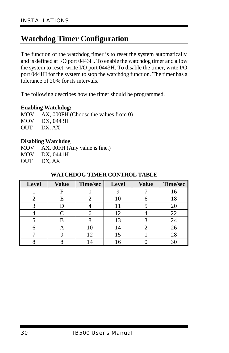## **Watchdog Timer Configuration**

The function of the watchdog timer is to reset the system automatically and is defined at I/O port 0443H. To enable the watchdog timer and allow the system to reset, write I/O port 0443H. To disable the timer, write I/O port 0441H for the system to stop the watchdog function. The timer has a tolerance of 20% for its intervals.

The following describes how the timer should be programmed.

#### **Enabling Watchdog:**

MOV AX, 000FH (Choose the values from 0) MOV DX, 0443H OUT DX, AX

#### **Disabling Watchdog**

MOV AX, 00FH (Any value is fine.) MOV DX, 0441H OUT DX, AX

| Level | <b>Value</b> | Time/sec | Level | <b>Value</b> | Time/sec |
|-------|--------------|----------|-------|--------------|----------|
|       |              |          |       |              | 16       |
| 2     | Е            |          |       |              | 18       |
|       |              |          |       |              | 20       |
|       |              |          | 12    |              | 22       |
|       | R            |          | 13    |              | 24       |
|       | Α            |          |       |              | 26       |
|       |              | 12       | 15    |              | 28       |
|       |              |          |       |              | 30       |

#### **WATCHDOG TIMER CONTROL TABLE**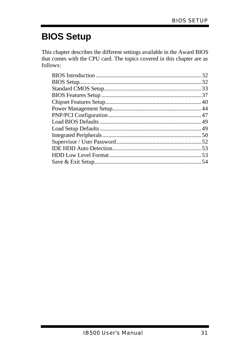# **BIOS Setup**

This chapter describes the different settings available in the Award BIOS that comes with the CPU card. The topics covered in this chapter are as follows: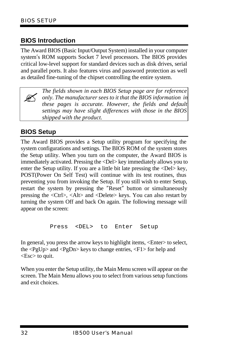#### **BIOS Introduction**

The Award BIOS (Basic Input/Output System) installed in your computer system's ROM supports Socket 7 level processors. The BIOS provides critical low-level support for standard devices such as disk drives, serial and parallel ports. It also features virus and password protection as well as detailed fine-tuning of the chipset controlling the entire system.

 $\mathbb{Z}$ *The fields shown in each BIOS Setup page are for reference only. The manufacturer sees to it that the BIOS information in these pages is accurate. However, the fields and default settings may have slight differences with those in the BIOS shipped with the product.*

#### **BIOS Setup**

The Award BIOS provides a Setup utility program for specifying the system configurations and settings. The BIOS ROM of the system stores the Setup utility. When you turn on the computer, the Award BIOS is immediately activated. Pressing the <Del> key immediately allows you to enter the Setup utility. If you are a little bit late pressing the <Del> key, POST(Power On Self Test) will continue with its test routines, thus preventing you from invoking the Setup. If you still wish to enter Setup, restart the system by pressing the "Reset" button or simultaneously pressing the <Ctrl>, <Alt> and <Delete> keys. You can also restart by turning the system Off and back On again. The following message will appear on the screen:

Press <DEL> to Enter Setup

In general, you press the arrow keys to highlight items, <Enter> to select, the <PgUp> and <PgDn> keys to change entries, <F1> for help and <Esc> to quit.

When you enter the Setup utility, the Main Menu screen will appear on the screen. The Main Menu allows you to select from various setup functions and exit choices.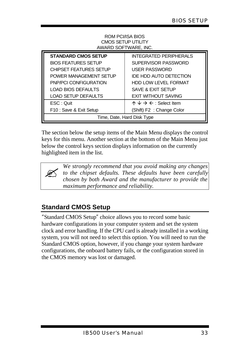#### ROM PCI/ISA BIOS CMOS SETUP UTILITY AWARD SOFTWARE, INC.

| <b>STANDARD CMOS SETUP</b>    | <b>INTEGRATED PERIPHERALS</b>                        |  |  |
|-------------------------------|------------------------------------------------------|--|--|
| <b>BIOS FEATURES SETUP</b>    | SUPERVISOR PASSWORD                                  |  |  |
| <b>CHIPSET FEATURES SETUP</b> | <b>USER PASSWORD</b>                                 |  |  |
| POWER MANAGEMENT SETUP        | IDE HDD AUTO DETECTION                               |  |  |
| PNP/PCI CONFIGURATION         | <b>HDD LOW LEVEL FORMAT</b>                          |  |  |
| <b>LOAD BIOS DEFAULTS</b>     | SAVE & EXIT SETUP                                    |  |  |
| <b>LOAD SETUP DEFAULTS</b>    | <b>EXIT WITHOUT SAVING</b>                           |  |  |
| ESC: Quit                     | $\uparrow \psi \rightarrow \leftarrow$ : Select Item |  |  |
| F10 : Save & Exit Setup       | (Shift) F2 : Change Color                            |  |  |
| Time, Date, Hard Disk Type    |                                                      |  |  |

The section below the setup items of the Main Menu displays the control keys for this menu. Another section at the bottom of the Main Menu just below the control keys section displays information on the currently highlighted item in the list.

> *We strongly recommend that you avoid making any changes to the chipset defaults. These defaults have been carefully chosen by both Award and the manufacturer to provide the maximum performance and reliability.*

# **Standard CMOS Setup**

 $\mathbb{Z}$ 

"Standard CMOS Setup" choice allows you to record some basic hardware configurations in your computer system and set the system clock and error handling. If the CPU card is already installed in a working system, you will not need to select this option. You will need to run the Standard CMOS option, however, if you change your system hardware configurations, the onboard battery fails, or the configuration stored in the CMOS memory was lost or damaged.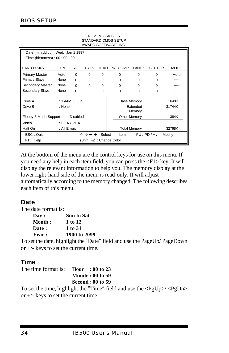| <b>STANDARD CMOS SETUP</b><br>AWARD SOFTWARE, INC. |                                             |                 |             |                                                 |                     |                     |                            |             |
|----------------------------------------------------|---------------------------------------------|-----------------|-------------|-------------------------------------------------|---------------------|---------------------|----------------------------|-------------|
| Date (mm:dd:yy) : Wed, Jan 1 1997                  |                                             |                 |             |                                                 |                     |                     |                            |             |
| Time (hh:mm:ss): 00: 00: 00                        |                                             |                 |             |                                                 |                     |                     |                            |             |
| <b>HARD DISKS</b>                                  | <b>TYPE</b>                                 | <b>SIZE</b>     | <b>CYLS</b> |                                                 | <b>HEAD PRECOMP</b> | LANDZ               | <b>SECTOR</b>              | <b>MODE</b> |
| Primary Master                                     | Auto                                        | $\mathbf 0$     | $\Omega$    | $\Omega$                                        | $\Omega$            | $\Omega$            | $\Omega$                   | Auto        |
| <b>Primary Slave</b>                               | None                                        | $\Omega$        | $\Omega$    | $\Omega$                                        | $\Omega$            | $\Omega$            | $\Omega$                   |             |
| Secondary Master                                   | None                                        | $\Omega$        | $\Omega$    | $\Omega$                                        | $\Omega$            | $\Omega$            | $\Omega$                   |             |
| Secondary Slave                                    | None                                        | $\Omega$        | $\Omega$    | $\Omega$                                        | $\Omega$            | $\Omega$            | $\Omega$                   |             |
| Drive A                                            |                                             | : 1.44M, 3.5 in |             |                                                 |                     | <b>Base Memory</b>  |                            | 640K        |
| Drive B                                            | Extended<br>: None<br>31744K<br>٠<br>Memory |                 |             |                                                 |                     |                     |                            |             |
| Floppy 3 Mode Support                              |                                             | : Disabled      |             |                                                 |                     | Other Memory        | - 1                        | 384K        |
| Video                                              |                                             | : EGA / VGA     |             |                                                 |                     |                     |                            |             |
| Halt On                                            | : All Errors                                |                 |             |                                                 |                     | <b>Total Memory</b> | $\sim 10$                  | 32768K      |
| ESC: Quit                                          |                                             |                 |             | $\uparrow \psi \rightarrow \leftarrow$ : Select | Item                |                     | $PU / PD / + / -$ : Modify |             |
| (Shift) F2: Change Color<br>F1: Help               |                                             |                 |             |                                                 |                     |                     |                            |             |

ROM PCI/ISA BIOS

At the bottom of the menu are the control keys for use on this menu. If you need any help in each item field, you can press the <F1> key. It will display the relevant information to help you. The memory display at the lower right-hand side of the menu is read-only. It will adjust automatically according to the memory changed. The following describes each item of this menu.

#### **Date**

The date format is:

| <b>Dav :</b>  | Sun to Sat   |
|---------------|--------------|
| Month :       | 1 to 12      |
| <b>Date :</b> | 1 to 31      |
| <b>Year :</b> | 1900 to 2099 |
|               |              |

To set the date, highlight the "Date" field and use the PageUp/ PageDown or +/- keys to set the current time.

## **Time**

| The time format is: <b>Hour</b> : 00 to 23 |                          |  |  |
|--------------------------------------------|--------------------------|--|--|
|                                            | <b>Minute: 00 to 59</b>  |  |  |
|                                            | <b>Second : 00 to 59</b> |  |  |
|                                            |                          |  |  |

To set the time, highlight the "Time" field and use the  $\langle PgUp \rangle / \langle PgDn \rangle$ or  $+/-$  keys to set the current time.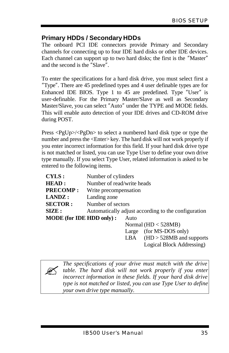## **Primary HDDs / Secondary HDDs**

The onboard PCI IDE connectors provide Primary and Secondary channels for connecting up to four IDE hard disks or other IDE devices. Each channel can support up to two hard disks; the first is the "Master" and the second is the "Slave".

To enter the specifications for a hard disk drive, you must select first a "Type". There are 45 predefined types and 4 user definable types are for Enhanced IDE BIOS. Type 1 to 45 are predefined. Type "User" is user-definable. For the Primary Master/Slave as well as Secondary Master/Slave, you can select "Auto" under the TYPE and MODE fields. This will enable auto detection of your IDE drives and CD-ROM drive during POST.

Press <PgUp>/<PgDn> to select a numbered hard disk type or type the number and press the <Enter> key. The hard disk will not work properly if you enter incorrect information for this field. If your hard disk drive type is not matched or listed, you can use Type User to define your own drive type manually. If you select Type User, related information is asked to be entered to the following items.

| CYLS:                    | Number of cylinders        |            |                                                     |
|--------------------------|----------------------------|------------|-----------------------------------------------------|
| <b>HEAD:</b>             | Number of read/write heads |            |                                                     |
| <b>PRECOMP:</b>          | Write precompensation      |            |                                                     |
| LANDZ:                   | Landing zone               |            |                                                     |
| <b>SECTOR:</b>           | Number of sectors          |            |                                                     |
| SIZE:                    |                            |            | Automatically adjust according to the configuration |
| MODE (for IDE HDD only): |                            | Auto       |                                                     |
|                          |                            |            | Normal $(HD < 528MB)$                               |
|                          |                            | Large      | (for MS-DOS only)                                   |
|                          |                            | <b>TDA</b> | $TID \tcong TOMID \tcong T$                         |

LBA  $(HD > 528MB$  and supports Logical Block Addressing)



*The specifications of your drive must match with the drive table. The hard disk will not work properly if you enter incorrect information in these fields. If your hard disk drive type is not matched or listed, you can use Type User to define your own drive type manually.*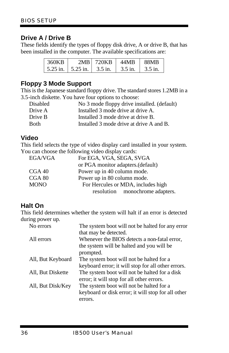#### **Drive A / Drive B**

These fields identify the types of floppy disk drive, A or drive B, that has been installed in the computer. The available specifications are:

| 360KB | 2MB L                   | 720KB   | 44MR    | <b>88MB</b> |
|-------|-------------------------|---------|---------|-------------|
|       | $5.25$ in.   $5.25$ in. | 3.5 in. | 3.5 in. | 3.5 in.     |

#### **Floppy 3 Mode Support**

This is the Japanese standard floppy drive. The standard stores 1.2MB in a 3.5-inch diskette. You have four options to choose:

| <b>Disabled</b> | No 3 mode floppy drive installed. (default) |
|-----------------|---------------------------------------------|
| Drive A         | Installed 3 mode drive at drive A.          |
| Drive B         | Installed 3 mode drive at drive B.          |
| <b>Both</b>     | Installed 3 mode drive at drive A and B.    |

#### **Video**

This field selects the type of video display card installed in your system. You can choose the following video display cards:

| EGA/VGA     | For EGA, VGA, SEGA, SVGA           |
|-------------|------------------------------------|
|             | or PGA monitor adapters. (default) |
| CGA40       | Power up in 40 column mode.        |
| CGA 80      | Power up in 80 column mode.        |
| <b>MONO</b> | For Hercules or MDA, includes high |
|             | resolution monochrome adapters.    |

#### **Halt On**

This field determines whether the system will halt if an error is detected during power up.

| The system boot will not be halted for any error   |
|----------------------------------------------------|
| that may be detected.                              |
| Whenever the BIOS detects a non-fatal error,       |
| the system will be halted and you will be          |
| prompted.                                          |
| The system boot will not be halted for a           |
| keyboard error; it will stop for all other errors. |
| The system boot will not be halted for a disk      |
| error; it will stop for all other errors.          |
| The system boot will not be halted for a           |
| keyboard or disk error; it will stop for all other |
| errors.                                            |
|                                                    |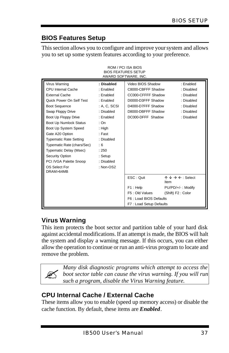# **BIOS Features Setup**

This section allows you to configure and improve your system and allows you to set up some system features according to your preference.

| AWARD SOFTWARE, INC.       |              |                         |                                                       |  |  |
|----------------------------|--------------|-------------------------|-------------------------------------------------------|--|--|
| Virus Warning              | : Disabled   | Video BIOS Shadow       | : Enabled                                             |  |  |
| CPU Internal Cache         | : Enabled    | C8000-CBFFF Shadow      | : Disabled                                            |  |  |
| <b>External Cache</b>      | : Enabled    | CC000-CFFFF Shadow      | : Disabled                                            |  |  |
| Quick Power On Self Test   | : Enabled    | D0000-D3FFF Shadow      | : Disabled                                            |  |  |
| <b>Boot Sequence</b>       | : A. C. SCSI | D4000-D7FFF Shadow      | : Disabled                                            |  |  |
| Swap Floppy Drive          | : Disabled   | D8000-DBFFF Shadow      | : Disabled                                            |  |  |
| Boot Up Floppy Drive       | : Enabled    | DC000-DFFF Shadow       | : Disabled                                            |  |  |
| Boot Up Numlock Status     | : On         |                         |                                                       |  |  |
| Boot Up System Speed       | : High       |                         |                                                       |  |  |
| Gate A20 Option            | : Fast       |                         |                                                       |  |  |
| Typematic Rate Setting     | : Disabled   |                         |                                                       |  |  |
| Typematic Rate (chars/Sec) | : 6          |                         |                                                       |  |  |
| Typematic Delay (Msec)     | : 250        |                         |                                                       |  |  |
| Security Option            | : Setup      |                         |                                                       |  |  |
| PCI /VGA Palette Snoop     | : Disabled   |                         |                                                       |  |  |
| OS Select For              | : $Non-OS2$  |                         |                                                       |  |  |
| DRAM>64MB                  |              |                         |                                                       |  |  |
|                            |              | ESC: Quit               | $\wedge \vee \rightarrow \leftarrow :$ Select<br>Item |  |  |
|                            |              | F1: Help                | PU/PD/+/-: Modify                                     |  |  |
|                            |              | F5: Old Values          | (Shift) F2: Color                                     |  |  |
|                            |              | F6: Load BIOS Defaults  |                                                       |  |  |
|                            |              | F7: Load Setup Defaults |                                                       |  |  |

ROM / PCI ISA BIOS BIOS FEATURES SETUP

## **Virus Warning**

This item protects the boot sector and partition table of your hard disk against accidental modifications. If an attempt is made, the BIOS will halt the system and display a warning message. If this occurs, you can either allow the operation to continue or run an anti-virus program to locate and remove the problem.

 $\mathbb{Z}$ 

*Many disk diagnostic programs which attempt to access the boot sector table can cause the virus warning. If you will run such a program, disable the Virus Warning feature.*

## **CPU Internal Cache / External Cache**

These items allow you to enable (speed up memory access) or disable the cache function. By default, these items are *Enabled*.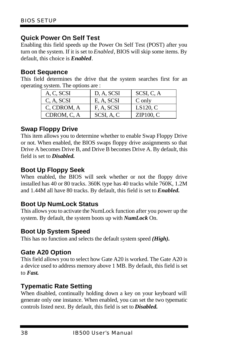#### **Quick Power On Self Test**

Enabling this field speeds up the Power On Self Test (POST) after you turn on the system. If it is set to *Enabled*, BIOS will skip some items. By default, this choice is *Enabled*.

#### **Boot Sequence**

This field determines the drive that the system searches first for an operating system. The options are :

| A, C, SCSI  | D, A, SCSI | SCSI, C, A |
|-------------|------------|------------|
| C, A, SCSI  | E, A, SCSI | C only     |
| C, CDROM, A | F, A, SCSI | LS120, C   |
| CDROM, C, A | SCSI, A, C | ZIP100, C  |

#### **Swap Floppy Drive**

This item allows you to determine whether to enable Swap Floppy Drive or not. When enabled, the BIOS swaps floppy drive assignments so that Drive A becomes Drive B, and Drive B becomes Drive A. By default, this field is set to *Disabled.*

#### **Boot Up Floppy Seek**

When enabled, the BIOS will seek whether or not the floppy drive installed has 40 or 80 tracks. 360K type has 40 tracks while 760K, 1.2M and 1.44M all have 80 tracks. By default, this field is set to *Enabled.*

## **Boot Up NumLock Status**

This allows you to activate the NumLock function after you power up the system. By default, the system boots up with *NumLock* On.

#### **Boot Up System Speed**

This has no function and selects the default system speed *(High).*

#### **Gate A20 Option**

This field allows you to select how Gate A20 is worked. The Gate A20 is a device used to address memory above 1 MB. By default, this field is set to *Fast.*

#### **Typematic Rate Setting**

When disabled, continually holding down a key on your keyboard will generate only one instance. When enabled, you can set the two typematic controls listed next. By default, this field is set to *Disabled.*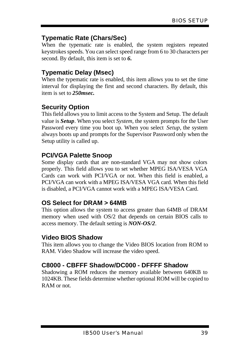## **Typematic Rate (Chars/Sec)**

When the typematic rate is enabled, the system registers repeated keystrokes speeds. You can select speed range from 6 to 30 characters per second. By default, this item is set to *6.*

## **Typematic Delay (Msec)**

When the typematic rate is enabled, this item allows you to set the time interval for displaying the first and second characters. By default, this item is set to *250msec.*

## **Security Option**

This field allows you to limit access to the System and Setup. The default value is *Setup*. When you select *System,* the system prompts for the User Password every time you boot up. When you select *Setup,* the system always boots up and prompts for the Supervisor Password only when the Setup utility is called up.

## **PCI/VGA Palette Snoop**

Some display cards that are non-standard VGA may not show colors properly. This field allows you to set whether MPEG ISA/VESA VGA Cards can work with PCI/VGA or not. When this field is enabled, a PCI/VGA can work with a MPEG ISA/VESA VGA card. When this field is disabled, a PCI/VGA cannot work with a MPEG ISA/VESA Card.

## **OS Select for DRAM > 64MB**

This option allows the system to access greater than 64MB of DRAM memory when used with OS/2 that depends on certain BIOS calls to access memory. The default setting is *NON-OS/2*.

## **Video BIOS Shadow**

This item allows you to change the Video BIOS location from ROM to RAM. Video Shadow will increase the video speed.

## **C8000 - CBFFF Shadow/DC000 - DFFFF Shadow**

Shadowing a ROM reduces the memory available between 640KB to 1024KB. These fields determine whether optional ROM will be copied to RAM or not.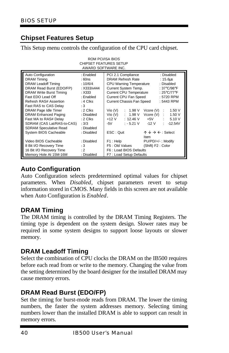## **Chipset Features Setup**

This Setup menu controls the configuration of the CPU card chipset.

ROM PCI/ISA BIOS

| <b>CHIPSET FEATURES SETUP</b><br>AWARD SOFTWARE INC. |             |                                      |                                                 |  |  |  |
|------------------------------------------------------|-------------|--------------------------------------|-------------------------------------------------|--|--|--|
| Auto Configuration                                   | : Enabled   | PCI 2.1 Compliance                   | : Disabled                                      |  |  |  |
| <b>DRAM</b> Timing                                   | : 60ns      | DRAM Refresh Rate                    | : 15.6 <sub>u</sub>                             |  |  |  |
| <b>DRAM Leadoff Timing</b>                           | :10/6/4     | <b>CPU Warning Temperature</b>       | : Disabled                                      |  |  |  |
| DRAM Read Burst (EDO/FP)                             | : X333/x444 | Current System Temp.                 | : 37°C/98°F                                     |  |  |  |
| DRAM Write Burst Timing                              | $\pm$ X333  | <b>Current CPU Temperature</b>       | : 25°C/77°F                                     |  |  |  |
| Fast EDO Lead Off                                    | : Enabled   | Current CPU Fan Speed                | : 5720 RPM                                      |  |  |  |
| Refresh RAS# Assertion                               | $: 4$ Clks  | Current Chassis Fan Speed            | : 5443 RPM                                      |  |  |  |
| Fast RAS to CAS Delay                                | :3          |                                      |                                                 |  |  |  |
| DRAM Page Idle Timer                                 | $: 2$ Clks  | $V$ io $(V)$<br>: 1.98V<br>Vcore (V) | 1.50V<br><b>COLL</b>                            |  |  |  |
| <b>DRAM Enhanced Paging</b>                          | : Disabled  | Vio (V)<br>: 1.98 V                  | $Vcore(V)$ :<br>1.50 V                          |  |  |  |
| Fast MA to RAS# Delay                                | $: 2$ Clks  | $+12$ V<br>: 12.46 V                 | $+5V$ :<br>5.10V                                |  |  |  |
| SDRAM (CAS Lat/RAS-to-CAS)                           | : 3/3       | : $-5.21$ V<br>$-12$ V<br>-5V        | $-12.54V$<br>٠.                                 |  |  |  |
| <b>SDRAM Speculative Read</b>                        | : Disabled  |                                      |                                                 |  |  |  |
| System BIOS Cacheable                                | : Disabled  | ESC: Quit                            | $\uparrow \psi \rightarrow \leftarrow$ : Select |  |  |  |
|                                                      |             | Item                                 |                                                 |  |  |  |
| Video BIOS Cacheable                                 | : Disabled  | F1: Help                             | PU/PD/+/-: Modify                               |  |  |  |
| 8 Bit I/O Recovery Time                              | :3          | F5: Old Values                       | (Shift) F2 : Color                              |  |  |  |
| 16 Bit I/O Recovery Time                             | : 2         | F6: Load BIOS Defaults               |                                                 |  |  |  |
| Memory Hole At 15M-16M                               | : Disabled  | F7: Load Setup Defaults              |                                                 |  |  |  |

#### **Auto Configuration**

Auto Configuration selects predetermined optimal values for chipset parameters. When *Disabled*, chipset parameters revert to setup information stored in CMOS. Many fields in this screen are not available when Auto Configuration is *Enabled*.

#### **DRAM Timing**

The DRAM timing is controlled by the DRAM Timing Registers. The timing type is dependent on the system design. Slower rates may be required in some system designs to support loose layouts or slower memory.

#### **DRAM Leadoff Timing**

Select the combination of CPU clocks the DRAM on the IB500 requires before each read from or write to the memory. Changing the value from the setting determined by the board designer for the installed DRAM may cause memory errors.

## **DRAM Read Burst (EDO/FP)**

Set the timing for burst-mode reads from DRAM. The lower the timing numbers, the faster the system addresses memory. Selecting timing numbers lower than the installed DRAM is able to support can result in memory errors.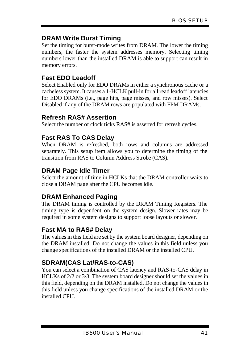## **DRAM Write Burst Timing**

Set the timing for burst-mode writes from DRAM. The lower the timing numbers, the faster the system addresses memory. Selecting timing numbers lower than the installed DRAM is able to support can result in memory errors.

## **Fast EDO Leadoff**

Select Enabled only for EDO DRAMs in either a synchronous cache or a cacheless system. It causes a 1-HCLK pull-in for all read leadoff latencies for EDO DRAMs (i.e., page hits, page misses, and row misses). Select Disabled if any of the DRAM rows are populated with FPM DRAMs.

#### **Refresh RAS# Assertion**

Select the number of clock ticks RAS# is asserted for refresh cycles.

## **Fast RAS To CAS Delay**

When DRAM is refreshed, both rows and columns are addressed separately. This setup item allows you to determine the timing of the transition from RAS to Column Address Strobe (CAS).

#### **DRAM Page Idle Timer**

Select the amount of time in HCLKs that the DRAM controller waits to close a DRAM page after the CPU becomes idle.

## **DRAM Enhanced Paging**

The DRAM timing is controlled by the DRAM Timing Registers. The timing type is dependent on the system design. Slower rates may be required in some system designs to support loose layouts or slower.

#### **Fast MA to RAS# Delay**

The values in this field are set by the system board designer, depending on the DRAM installed. Do not change the values in this field unless you change specifications of the installed DRAM or the installed CPU.

# **SDRAM(CAS Lat/RAS-to-CAS)**

You can select a combination of CAS latency and RAS-to-CAS delay in HCLKs of 2/2 or 3/3. The system board designer should set the values in this field, depending on the DRAM installed. Do not change the values in this field unless you change specifications of the installed DRAM or the installed CPU.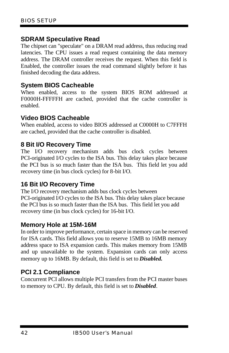#### **SDRAM Speculative Read**

The chipset can "speculate" on a DRAM read address, thus reducing read latencies. The CPU issues a read request containing the data memory address. The DRAM controller receives the request. When this field is Enabled, the controller issues the read command slightly before it has finished decoding the data address.

#### **System BIOS Cacheable**

When enabled, access to the system BIOS ROM addressed at F0000H-FFFFFH are cached, provided that the cache controller is enabled.

#### **Video BIOS Cacheable**

When enabled, access to video BIOS addressed at C0000H to C7FFFH are cached, provided that the cache controller is disabled.

#### **8 Bit I/O Recovery Time**

The I/O recovery mechanism adds bus clock cycles between PCI-originated I/O cycles to the ISA bus. This delay takes place because the PCI bus is so much faster than the ISA bus. This field let you add recovery time (in bus clock cycles) for 8-bit I/O.

#### **16 Bit I/O Recovery Time**

The I/O recovery mechanism adds bus clock cycles between PCI-originated I/O cycles to the ISA bus. This delay takes place because the PCI bus is so much faster than the ISA bus. This field let you add recovery time (in bus clock cycles) for 16-bit I/O.

#### **Memory Hole at 15M-16M**

In order to improve performance, certain space in memory can be reserved for ISA cards. This field allows you to reserve 15MB to 16MB memory address space to ISA expansion cards. This makes memory from 15MB and up unavailable to the system. Expansion cards can only access memory up to 16MB. By default, this field is set to *Disabled.*

## **PCI 2.1 Compliance**

Concurrent PCI allows multiple PCI transfers from the PCI master buses to memory to CPU. By default, this field is set to *Disabled.*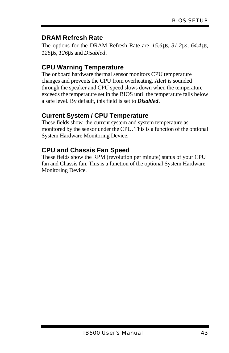## **DRAM Refresh Rate**

The options for the DRAM Refresh Rate are *15.6ms*, *31.2ms*, *64.4ms*, *125ms*, *126ms* and *Disabled*.

# **CPU Warning Temperature**

The onboard hardware thermal sensor monitors CPU temperature changes and prevents the CPU from overheating. Alert is sounded through the speaker and CPU speed slows down when the temperature exceeds the temperature set in the BIOS until the temperature falls below a safe level. By default, this field is set to *Disabled.*

# **Current System / CPU Temperature**

These fields show the current system and system temperature as monitored by the sensor under the CPU. This is a function of the optional System Hardware Monitoring Device.

# **CPU and Chassis Fan Speed**

These fields show the RPM (revolution per minute) status of your CPU fan and Chassis fan. This is a function of the optional System Hardware Monitoring Device.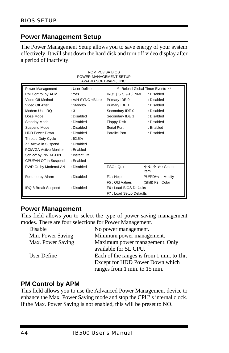## **Power Management Setup**

The Power Management Setup allows you to save energy of your system effectively. It will shut down the hard disk and turn off video display after a period of inactivity.

| ROM PCI/ISA BIOS<br>POWER MANAGEMENT SETUP<br>AWARD SOFTWARE, INC. |                   |                         |                                                       |  |  |  |
|--------------------------------------------------------------------|-------------------|-------------------------|-------------------------------------------------------|--|--|--|
| Power Management                                                   | : User Define     |                         | Reload Global Timer Events **                         |  |  |  |
| PM Control by APM                                                  | : Yes             | IRQ3 [ 3-7, 9-15], NMI  | : Disabled                                            |  |  |  |
| Video Off Method                                                   | : V/H SYNC +Blank | Primary IDE 0           | : Disabled                                            |  |  |  |
| Video Off After                                                    | : Standby         | Primary IDE 1           | : Disabled                                            |  |  |  |
| Modem Use IRQ                                                      | :3                | Secondary IDE 0         | : Disabled                                            |  |  |  |
| Doze Mode                                                          | : Disabled        | Secondary IDE 1         | : Disabled                                            |  |  |  |
| Standby Mode                                                       | : Disabled        | <b>Floppy Disk</b>      | : Disabled                                            |  |  |  |
| Suspend Mode                                                       | : Disabled        |                         | : Enabled                                             |  |  |  |
| <b>HDD Power Down</b><br>: Disabled                                |                   | Parallel Port           | : Disabled                                            |  |  |  |
| Throttle Duty Cycle<br>:62.5%                                      |                   |                         |                                                       |  |  |  |
| ZZ Active in Suspend<br>: Disabled                                 |                   |                         |                                                       |  |  |  |
| PCI/VGA Active Monitor<br>: Enabled                                |                   |                         |                                                       |  |  |  |
| Soft-off by PWR-BTTN<br>: Instant Off                              |                   |                         |                                                       |  |  |  |
| CPUFAN Off In Suspend                                              | : Enabled         |                         |                                                       |  |  |  |
| PWR On by Modem/LAN<br>: Disabled                                  |                   | ESC: Quit               | $\wedge \vee \rightarrow \leftarrow :$ Select<br>Item |  |  |  |
| Resume by Alarm                                                    | : Disabled        | F1: Help                | PU/PD/+/-: Modify                                     |  |  |  |
|                                                                    |                   | F5: Old Values          | (Shift) F2: Color                                     |  |  |  |
| IRQ 8 Break Suspend                                                | : Disabled        | F6: Load BIOS Defaults  |                                                       |  |  |  |
|                                                                    |                   | F7: Load Setup Defaults |                                                       |  |  |  |

#### **Power Management**

This field allows you to select the type of power saving management modes. There are four selections for Power Management.

| Disable           | No power management.                      |
|-------------------|-------------------------------------------|
| Min. Power Saving | Minimum power management.                 |
| Max. Power Saving | Maximum power management. Only            |
|                   | available for SL CPU.                     |
| User Define       | Each of the ranges is from 1 min. to 1hr. |
|                   | Except for HDD Power Down which           |
|                   | ranges from 1 min. to 15 min.             |

#### **PM Control by APM**

This field allows you to use the Advanced Power Management device to enhance the Max. Power Saving mode and stop the CPU's internal clock. If the Max. Power Saving is not enabled, this will be preset to NO.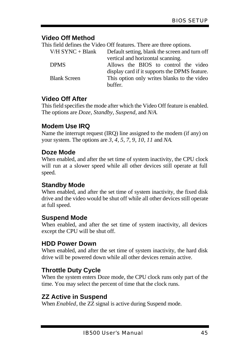#### **Video Off Method**

This field defines the Video Off features. There are three options.

 $V/H$  SYNC + Blank Default setting, blank the screen and turn off

vertical and horizontal scanning. DPMS Allows the BIOS to control the video display card if it supports the DPMS feature. Blank Screen This option only writes blanks to the video buffer.

## **Video Off After**

This field specifies the mode after which the Video Off feature is enabled. The options are *Doze, Standby, Suspend*, and *N/A.*

## **Modem Use IRQ**

Name the interrupt request (IRQ) line assigned to the modem (if any) on your system. The options are *3*, *4*, *5*, *7*, *9*, *10*, *11* and *NA*.

## **Doze Mode**

When enabled, and after the set time of system inactivity, the CPU clock will run at a slower speed while all other devices still operate at full speed.

#### **Standby Mode**

When enabled, and after the set time of system inactivity, the fixed disk drive and the video would be shut off while all other devices still operate at full speed.

## **Suspend Mode**

When enabled, and after the set time of system inactivity, all devices except the CPU will be shut off.

#### **HDD Power Down**

When enabled, and after the set time of system inactivity, the hard disk drive will be powered down while all other devices remain active.

## **Throttle Duty Cycle**

When the system enters Doze mode, the CPU clock runs only part of the time. You may select the percent of time that the clock runs.

## **ZZ Active in Suspend**

When *Enabled*, the ZZ signal is active during Suspend mode.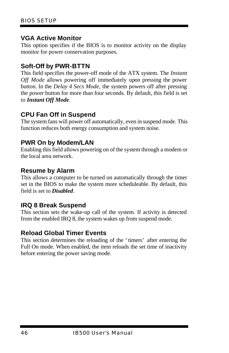#### **VGA Active Monitor**

This option specifies if the BIOS is to monitor activity on the display monitor for power conservation purposes.

#### **Soft-Off by PWR-BTTN**

This field specifies the power-off mode of the ATX system. The *Instant Off Mode* allows powering off immediately upon pressing the power button. In the *Delay 4 Secs Mode,* the system powers off after pressing the power button for more than four seconds. By default, this field is set to *Instant Off Mode*.

#### **CPU Fan Off in Suspend**

The system fans will power off automatically, even in suspend mode. This function reduces both energy consumption and system noise.

#### **PWR On by Modem/LAN**

Enabling this field allows powering on of the system through a modem or the local area network.

#### **Resume by Alarm**

This allows a computer to be turned on automatically through the timer set in the BIOS to make the system more scheduleable. By default, this field is set to *Disabled.*

#### **IRQ 8 Break Suspend**

This section sets the wake-up call of the system. If activity is detected from the enabled IRQ 8, the system wakes up from suspend mode.

#### **Reload Global Timer Events**

This section determines the reloading of the 'timers' after entering the Full On mode. When enabled, the item reloads the set time of inactivity before entering the power saving mode.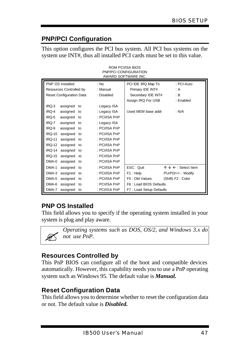# **PNP/PCI Configuration**

This option configures the PCI bus system. All PCI bus systems on the system use INT#, thus all installed PCI cards must be set to this value.

| AWARD SOFTWARE INC.             |               |                         |                                          |  |  |  |  |
|---------------------------------|---------------|-------------------------|------------------------------------------|--|--|--|--|
| PNP OS Installed                | : No          | PCI IDE IRQ Map To      | : PCI-Auto                               |  |  |  |  |
| Resources Controlled by         | : Manual      | Primary IDE INT#        | : A                                      |  |  |  |  |
| Reset Configuration Data        | : Disabled    | Secondary IDE INT#      | : B                                      |  |  |  |  |
|                                 |               | Assign IRQ For USB      | : Enabled                                |  |  |  |  |
| IRQ-3<br>assigned to            | : Legacy ISA  |                         |                                          |  |  |  |  |
| IRQ-4<br>assigned to            | : Legacy ISA  | Used MEM base addr      | : N/A                                    |  |  |  |  |
| IRQ-5<br>assigned to            | : PCI/ISA PnP |                         |                                          |  |  |  |  |
| IRQ-7<br>assigned to            | : Legacy ISA  |                         |                                          |  |  |  |  |
| IRQ-9<br>assigned to            | : PCI/ISA PnP |                         |                                          |  |  |  |  |
| <b>IRO-10</b><br>assigned<br>to | : PCI/ISA PnP |                         |                                          |  |  |  |  |
| <b>IRQ-11</b><br>assigned<br>to | : PCI/ISA PnP |                         |                                          |  |  |  |  |
| <b>IRQ-12</b><br>assigned<br>to | : PCI/ISA PnP |                         |                                          |  |  |  |  |
| <b>IRQ-14</b><br>assigned<br>to | : PCI/ISA PnP |                         |                                          |  |  |  |  |
| <b>IRQ-15</b><br>assigned<br>to | : PCI/ISA PnP |                         |                                          |  |  |  |  |
| DMA-0<br>assigned<br>to         | : PCI/ISA PnP |                         |                                          |  |  |  |  |
| DMA-1<br>assigned<br>to         | : PCI/ISA PnP | ESC: Ouit               | $\uparrow \psi \in \Omega$ : Select Item |  |  |  |  |
| DMA-3<br>assigned<br>to         | : PCI/ISA PnP | F1: Help                | PU/PD/+/-: Modify                        |  |  |  |  |
| DMA-5<br>assigned<br>to         | : PCI/ISA PnP | F5: Old Values          | (Shift) F2: Color                        |  |  |  |  |
| DMA-6<br>assigned<br>to         | : PCI/ISA PnP | F6: Load BIOS Defaults  |                                          |  |  |  |  |
| DMA-7<br>assigned<br>to         | : PCI/ISA PnP | F7: Load Setup Defaults |                                          |  |  |  |  |

#### ROM PCI/ISA BIOS PNP/PCI CONFIGURATION

## **PNP OS Installed**

This field allows you to specify if the operating system installed in your system is plug and play aware.



*Operating systems such as DOS, OS/2, and Windows 3.x do not use PnP.*

## **Resources Controlled by**

This PnP BIOS can configure all of the boot and compatible devices automatically. However, this capability needs you to use a PnP operating system such as Windows 95. The default value is *Manual.*

## **Reset Configuration Data**

This field allows you to determine whether to reset the configuration data or not. The default value is *Disabled.*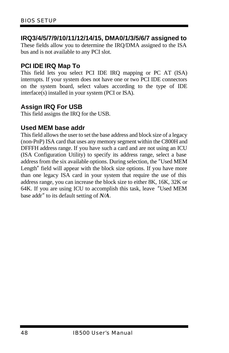#### **IRQ3/4/5/7/9/10/11/12/14/15, DMA0/1/3/5/6/7 assigned to**

These fields allow you to determine the IRQ/DMA assigned to the ISA bus and is not available to any PCI slot.

#### **PCI IDE IRQ Map To**

This field lets you select PCI IDE IRQ mapping or PC AT (ISA) interrupts. If your system does not have one or two PCI IDE connectors on the system board, select values according to the type of IDE interface(s) installed in your system (PCI or ISA).

#### **Assign IRQ For USB**

This field assigns the IRQ for the USB.

#### **Used MEM base addr**

This field allows the user to set the base address and block size of a legacy (non-PnP) ISA card that uses any memory segment within the C800H and DFFFH address range. If you have such a card and are not using an ICU (ISA Configuration Utility) to specify its address range, select a base address from the six available options. During selection, the "Used MEM Length" field will appear with the block size options. If you have more than one legacy ISA card in your system that require the use of this address range, you can increase the block size to either 8K, 16K, 32K or 64K. If you are using ICU to accomplish this task, leave "Used MEM base addr" to its default setting of *N/A*.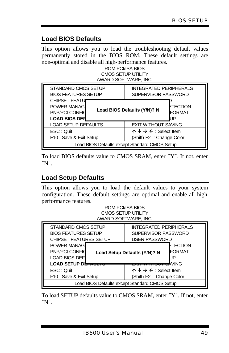## **Load BIOS Defaults**

This option allows you to load the troubleshooting default values permanently stored in the BIOS ROM. These default settings are non-optimal and disable all high-performance features.

#### ROM PCI/ISA BIOS CMOS SETUP UTILITY AWARD SOFTWARE, INC.

| STANDARD CMOS SETUP        | <b>INTEGRATED PERIPHERALS</b>                        |  |
|----------------------------|------------------------------------------------------|--|
| <b>BIOS FEATURES SETUP</b> | SUPERVISOR PASSWORD                                  |  |
| <b>CHIPSET FEATU</b>       | ETECTION                                             |  |
| <b>POWER MANAGE</b>        | Load BIOS Defaults (Y/N)? N                          |  |
| <b>PNP/PCI CONFID</b>      | FORMAT                                               |  |
| <b>LOAD BIOS DER</b>       | ΙP                                                   |  |
| <b>LOAD SETUP DEFAULTS</b> | <b>EXIT WITHOUT SAVING</b>                           |  |
| ESC: Quit                  | $\uparrow \psi \rightarrow \leftarrow$ : Select Item |  |
| F10 : Save & Exit Setup    | (Shift) F2 : Change Color                            |  |
|                            | Load BIOS Defaults except Standard CMOS Setup        |  |

To load BIOS defaults value to CMOS SRAM, enter "Y". If not, enter "N".

## **Load Setup Defaults**

This option allows you to load the default values to your system configuration. These default settings are optimal and enable all high performance features.

| ROM PCI/ISA BIOS     |
|----------------------|
| CMOS SETUP UTILITY   |
| AWARD SOFTWARE, INC. |

| STANDARD CMOS SETUP                  | <b>INTEGRATED PERIPHERALS</b>                                                                                                      |  |
|--------------------------------------|------------------------------------------------------------------------------------------------------------------------------------|--|
| <b>BIOS FEATURES SETUP</b>           | SUPERVISOR PASSWORD                                                                                                                |  |
| <b>CHIPSET FEATURES SETUP</b>        | <b>USER PASSWORD</b>                                                                                                               |  |
| POWER MANAG                          | ETECTION                                                                                                                           |  |
| <b>PNP/PCI CONFID</b>                | FORMAT                                                                                                                             |  |
| <b>LOAD BIOS DEF</b>                 | Load Setup Defaults (Y/N)? N                                                                                                       |  |
| LOAD SETUP DE <del>I AULTU</del>     | <del>⊶</del> VING                                                                                                                  |  |
| ESC: Quit<br>F10 : Save & Exit Setup | $\uparrow \psi \rightarrow \leftarrow$ : Select Item<br>(Shift) F2 : Change Color<br>Load BIOS Defaults except Standard CMOS Setup |  |

To load SETUP defaults value to CMOS SRAM, enter "Y". If not, enter "N".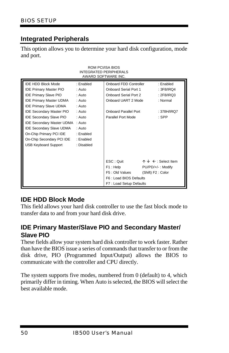## **Integrated Peripherals**

This option allows you to determine your hard disk configuration, mode and port.

ROM PCI/ISA BIOS

|                                                                                                                                                                                                                                                                                                                                                                                                            |                                                                                                                      | <b>INTEGRATED PERIPHERALS</b><br>AWARD SOFTWARE INC.                                                                                                  |                                                                                          |  |
|------------------------------------------------------------------------------------------------------------------------------------------------------------------------------------------------------------------------------------------------------------------------------------------------------------------------------------------------------------------------------------------------------------|----------------------------------------------------------------------------------------------------------------------|-------------------------------------------------------------------------------------------------------------------------------------------------------|------------------------------------------------------------------------------------------|--|
| <b>IDE HDD Block Mode</b><br><b>IDE Primary Master PIO</b><br><b>IDE Primary Slave PIO</b><br><b>IDE Primary Master UDMA</b><br><b>IDE Primary Slave UDMA</b><br><b>IDE Secondary Master PIO</b><br><b>IDE Secondary Slave PIO</b><br><b>IDE Secondary Master UDMA</b><br><b>IDE Secondary Slave UDMA</b><br>On-Chip Primary PCI IDE<br>On-Chip Secondary PCI IDE : Enabled<br><b>USB Keyboard Support</b> | : Enabled<br>: Auto<br>: Auto<br>: Auto<br>: Auto<br>: Auto<br>: Auto<br>: Auto<br>: Auto<br>: Enabled<br>: Disabled | Onboard FDD Controller<br><b>Onboard Serial Port 1</b><br>Onboard Serial Port 2<br>Onboard UART 2 Mode<br>Onboard Parallel Port<br>Parallel Port Mode | : Enabled<br>: 3F8/IRQ4<br>: 2F8/IRQ3<br>: Normal<br>: 378H/IRQ7<br>$:$ SPP              |  |
|                                                                                                                                                                                                                                                                                                                                                                                                            |                                                                                                                      | ESC: Quit<br>F1: Help<br>F5: Old Values<br>F6: Load BIOS Defaults<br>F7: Load Setup Defaults                                                          | $\uparrow \downarrow \leftarrow$ : Select Item<br>PU/PD/+/-: Modify<br>(Shift) F2: Color |  |

#### **IDE HDD Block Mode**

This field allows your hard disk controller to use the fast block mode to transfer data to and from your hard disk drive.

#### **IDE Primary Master/Slave PIO and Secondary Master/ Slave PIO**

These fields allow your system hard disk controller to work faster. Rather than have the BIOS issue a series of commands that transfer to or from the disk drive, PIO (Programmed Input/Output) allows the BIOS to communicate with the controller and CPU directly.

The system supports five modes, numbered from 0 (default) to 4, which primarily differ in timing. When Auto is selected, the BIOS will select the best available mode.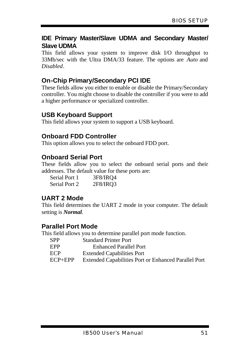#### **IDE Primary Master/Slave UDMA and Secondary Master/ Slave UDMA**

This field allows your system to improve disk I/O throughput to 33Mb/sec with the Ultra DMA/33 feature. The options are *Auto* and *Disabled*.

#### **On-Chip Primary/Secondary PCI IDE**

These fields allow you either to enable or disable the Primary/Secondary controller. You might choose to disable the controller if you were to add a higher performance or specialized controller.

#### **USB Keyboard Support**

This field allows your system to support a USB keyboard.

#### **Onboard FDD Controller**

This option allows you to select the onboard FDD port.

#### **Onboard Serial Port**

These fields allow you to select the onboard serial ports and their addresses. The default value for these ports are:

| Serial Port 1 | 3F8/IRO4 |
|---------------|----------|
| Serial Port 2 | 2F8/IRQ3 |

#### **UART 2 Mode**

This field determines the UART 2 mode in your computer. The default setting is *Normal*.

## **Parallel Port Mode**

This field allows you to determine parallel port mode function.

- SPP Standard Printer Port
- EPP Enhanced Parallel Port
- ECP Extended Capabilities Port
- ECP+EPP Extended Capabilities Port or Enhanced Parallel Port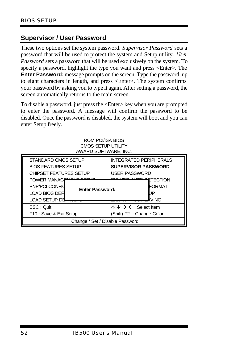## **Supervisor / User Password**

These two options set the system password. *Supervisor Password* sets a password that will be used to protect the system and Setup utility. *User Password* sets a password that will be used exclusively on the system. To specify a password, highlight the type you want and press <Enter>. The **Enter Password:** message prompts on the screen. Type the password, up to eight characters in length, and press <Enter>. The system confirms your password by asking you to type it again. After setting a password, the screen automatically returns to the main screen.

To disable a password, just press the <Enter> key when you are prompted to enter the password. A message will confirm the password to be disabled. Once the password is disabled, the system will boot and you can enter Setup freely.

|                                                                                                                                                                           | ROM PCI/ISA BIOS<br>CMOS SETUP UTILITY<br>AWARD SOFTWARE, INC. |                                                                                |  |
|---------------------------------------------------------------------------------------------------------------------------------------------------------------------------|----------------------------------------------------------------|--------------------------------------------------------------------------------|--|
| STANDARD CMOS SETUP<br><b>INTEGRATED PERIPHERALS</b><br><b>BIOS FEATURES SETUP</b><br><b>SUPERVISOR PASSWORD</b><br><b>CHIPSET FEATURES SETUP</b><br><b>USER PASSWORD</b> |                                                                |                                                                                |  |
| <b>POWER MANAGE</b><br><b>PNP/PCI CONFID</b><br><b>LOAD BIOS DEFI</b><br>LOAD SETUP DE                                                                                    | <b>Enter Password:</b>                                         | ETECTION<br>FORMAT<br>JP<br><b>VING</b>                                        |  |
| ESC: Quit<br>F10 : Save & Exit Setup                                                                                                                                      |                                                                | $\wedge \vee \rightarrow \leftarrow$ : Select Item<br>(Shift) F2: Change Color |  |
| Change / Set / Disable Password                                                                                                                                           |                                                                |                                                                                |  |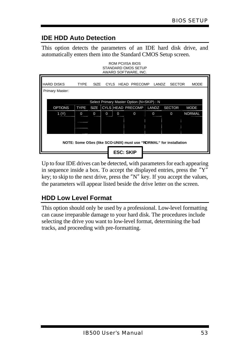# **IDE HDD Auto Detection**

This option detects the parameters of an IDE hard disk drive, and automatically enters them into the Standard CMOS Setup screen. ROM PCI/ISA BIOS

| STANDARD CMOS SETUP<br>AWARD SOFTWARE, INC.<br><b>HARD DISKS</b><br><b>TYPE</b><br>CYLS HEAD PRECOMP<br><b>SECTOR</b><br><b>MODE</b><br><b>SIZE</b><br>LANDZ |                                                                                                                                               |   |          |             |             |   |             |             |               |
|--------------------------------------------------------------------------------------------------------------------------------------------------------------|-----------------------------------------------------------------------------------------------------------------------------------------------|---|----------|-------------|-------------|---|-------------|-------------|---------------|
| Primary Master:                                                                                                                                              |                                                                                                                                               |   |          |             |             |   |             |             |               |
|                                                                                                                                                              | Select Primary Master Option (N=SKIP) : N<br>CYLS HEAD PRECOMP<br><b>OPTIONS</b><br><b>TYPE</b><br><b>SIZE</b><br>LANDZ SECTOR<br><b>MODE</b> |   |          |             |             |   |             |             |               |
|                                                                                                                                                              | 1 <sub>(Y)</sub>                                                                                                                              | 0 | $\Omega$ | $\mathbf 0$ | $\mathbf 0$ | 0 | $\mathbf 0$ | $\mathbf 0$ | <b>NORMAL</b> |
|                                                                                                                                                              |                                                                                                                                               |   |          |             |             |   |             |             |               |
| NOTE: Some OSes (like SCO-UNIX) must use "NORMAL" for installation                                                                                           |                                                                                                                                               |   |          |             |             |   |             |             |               |
|                                                                                                                                                              | <b>ESC: SKIP</b>                                                                                                                              |   |          |             |             |   |             |             |               |

Up to four IDE drives can be detected, with parameters for each appearing in sequence inside a box. To accept the displayed entries, press the "Y" key; to skip to the next drive, press the "N" key. If you accept the values, the parameters will appear listed beside the drive letter on the screen.

# **HDD Low Level Format**

This option should only be used by a professional. Low-level formatting can cause irreparable damage to your hard disk. The procedures include selecting the drive you want to low-level format, determining the bad tracks, and proceeding with pre-formatting.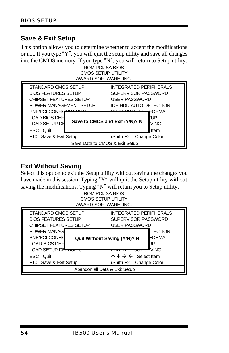## **Save & Exit Setup**

This option allows you to determine whether to accept the modifications or not. If you type "Y", you will quit the setup utility and save all changes into the CMOS memory. If you type "N", you will return to Setup utility.

ROM PCI/ISA BIOS CMOS SETUP UTILITY AWARD SOFTWARE, INC.

| STANDARD CMOS SETUP<br><b>BIOS FEATURES SETUP</b><br><b>CHIPSET FEATURES SETUP</b> |  | <b>INTEGRATED PERIPHERALS</b><br>SUPERVISOR PASSWORD<br><b>USER PASSWORD</b> |                              |
|------------------------------------------------------------------------------------|--|------------------------------------------------------------------------------|------------------------------|
| POWER MANAGEMENT SETUP                                                             |  | <b>IDE HDD AUTO DETECTION</b>                                                |                              |
| PNP/PCI CONFIGURATION<br><b>LOAD BIOS DEF</b><br><b>LOAD SETUP DE</b>              |  | $11 - 11$<br>Save to CMOS and Exit (Y/N)? N                                  | FORMAT<br><b>TUP</b><br>VING |
| ESC: Quit                                                                          |  |                                                                              | Item                         |
| F10 : Save & Exit Setup                                                            |  | (Shift) F2: Change Color                                                     |                              |
| Save Data to CMOS & Exit Setup                                                     |  |                                                                              |                              |

## **Exit Without Saving**

Select this option to exit the Setup utility without saving the changes you have made in this session. Typing "Y" will quit the Setup utility without saving the modifications. Typing "N" will return you to Setup utility.

ROM PCI/ISA BIOS CMOS SETUP UTILITY AWARD SOFTWARE, INC.

| STANDARD CMOS SETUP                  | <b>INTEGRATED PERIPHERALS</b>                                                                                      |  |
|--------------------------------------|--------------------------------------------------------------------------------------------------------------------|--|
| <b>BIOS FEATURES SETUP</b>           | SUPERVISOR PASSWORD                                                                                                |  |
| <b>CHIPSET FEATURES SETUP</b>        | <b>USER PASSWORD</b>                                                                                               |  |
| POWER MANAG                          | ETECTION                                                                                                           |  |
| <b>PNP/PCI CONFID</b>                | FORMAT                                                                                                             |  |
| LOAD BIOS DEF                        | <b>Quit Without Saving (Y/N)? N</b>                                                                                |  |
| LOAD SETUP DE <del>LABETO</del>      | <b>VING</b>                                                                                                        |  |
| ESC: Quit<br>F10 : Save & Exit Setup | $\uparrow \psi \rightarrow \leftarrow$ : Select Item<br>(Shift) F2 : Change Color<br>Abandon all Data & Exit Setup |  |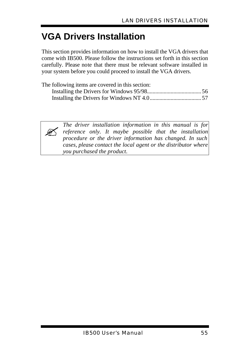# **VGA Drivers Installation**

This section provides information on how to install the VGA drivers that come with IB500. Please follow the instructions set forth in this section carefully. Please note that there must be relevant software installed in your system before you could proceed to install the VGA drivers.

| The following items are covered in this section: |  |
|--------------------------------------------------|--|
|                                                  |  |
|                                                  |  |



*The driver installation information in this manual is for reference only. It maybe possible that the installation procedure or the driver information has changed. In such cases, please contact the local agent or the distributor where you purchased the product.*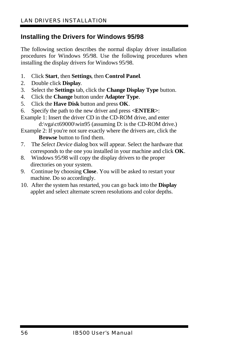## **Installing the Drivers for Windows 95/98**

The following section describes the normal display driver installation procedures for Windows 95/98. Use the following procedures when installing the display drivers for Windows 95/98.

- 1. Click **Start**, then **Settings**, then **Control Panel**.
- 2. Double click **Display**.
- 3. Select the **Settings** tab, click the **Change Display Type** button.
- 4. Click the **Change** button under **Adapter Type**.
- 5. Click the **Have Disk** button and press **OK**.
- 6. Specify the path to the new driver and press **<ENTER>**:
- Example 1: Insert the driver CD in the CD-ROM drive, and enter d:\vga\ct69000\win95 (assuming D: is the CD-ROM drive.)
- Example 2: If you're not sure exactly where the drivers are, click the **Browse** button to find them.
- 7. The *Select Device* dialog box will appear. Select the hardware that corresponds to the one you installed in your machine and click **OK**.
- 8. Windows 95/98 will copy the display drivers to the proper directories on your system.
- 9. Continue by choosing **Close**. You will be asked to restart your machine. Do so accordingly.
- 10. After the system has restarted, you can go back into the **Display** applet and select alternate screen resolutions and color depths.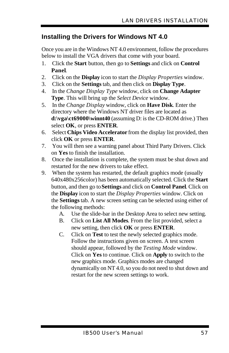## **Installing the Drivers for Windows NT 4.0**

Once you are in the Windows NT 4.0 environment, follow the procedures below to install the VGA drivers that come with your board.

- 1. Click the **Start** button, then go to **Settings** and click on **Control Panel**.
- 2. Click on the **Display** icon to start the *Display Properties* window.
- 3. Click on the **Settings** tab, and then click on **Display Type**.
- 4. In the *Change Display Type* window, click on **Change Adapter Type**. This will bring up the *Select Device* window.
- 5. In the *Change Display* window, click on **Have Disk**. Enter the directory where the Windows NT driver files are located as **d:\vga\ct69000\winnt40** (assuming D: is the CD-ROM drive.) Then select **OK**, or press **ENTER**.
- 6. Select **Chips Video Accelerator** from the display list provided, then click **OK** or press **ENTER**.
- 7. You will then see a warning panel about Third Party Drivers. Click on **Yes** to finish the installation.
- 8. Once the installation is complete, the system must be shut down and restarted for the new drivers to take effect.
- 9. When the system has restarted, the default graphics mode (usually 640x480x256color) has been automatically selected. Click the **Start** button, and then go to **Settings** and click on **Control Panel**. Click on the **Display** icon to start the *Display Properties* window. Click on the **Settings** tab. A new screen setting can be selected using either of the following methods:
	- A. Use the slide-bar in the Desktop Area to select new setting.
	- B. Click on **List All Modes**. From the list provided, select a new setting, then click **OK** or press **ENTER**.
	- C. Click on **Test** to test the newly selected graphics mode. Follow the instructions given on screen. A test screen should appear, followed by the *Testing Mode* window. Click on **Yes** to continue. Click on **Apply** to switch to the new graphics mode. Graphics modes are changed dynamically on NT 4.0, so you do not need to shut down and restart for the new screen settings to work.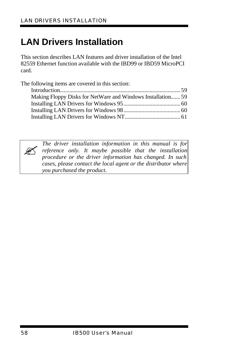# **LAN Drivers Installation**

This section describes LAN features and driver installation of the Intel 82559 Ethernet function available with the IBD99 or IBD59 MicroPCI card.

The following items are covered in this section: Introduction....................................................................................... 59 Making Floppy Disks for NetWare and Windows Installation....... 59 Installing LAN Drivers for Windows 95......................................... 60 Installing LAN Drivers for Windows 98......................................... 60 Installing LAN Drivers for Windows NT........................................ 61



*The driver installation information in this manual is for reference only. It maybe possible that the installation procedure or the driver information has changed. In such cases, please contact the local agent or the distributor where you purchased the product.*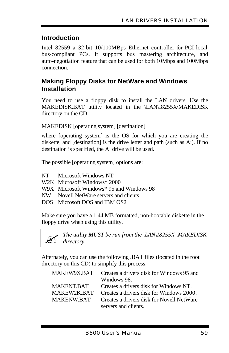## **Introduction**

Intel 82559 a 32-bit 10/100MBps Ethernet controller for PCI local bus-compliant PCs. It supports bus mastering architecture, and auto-negotiation feature that can be used for both 10Mbps and 100Mbps connection.

## **Making Floppy Disks for NetWare and Windows Installation**

You need to use a floppy disk to install the LAN drivers. Use the MAKEDISK.BAT utility located in the \LAN\I8255X\MAKEDISK directory on the CD.

MAKEDISK [operating system] [destination]

where [operating system] is the OS for which you are creating the diskette, and [destination] is the drive letter and path (such as A:). If no destination is specified, the A: drive will be used.

The possible [operating system] options are:

- NT Microsoft Windows NT
- W2K Microsoft Windows\* 2000
- W9X Microsoft Windows\* 95 and Windows 98
- NW Novell NetWare servers and clients
- DOS Microsoft DOS and IBM OS2

Make sure you have a 1.44 MB formatted, non-bootable diskette in the floppy drive when using this utility.

? *The utility MUST be run from the \LAN\I8255X \MAKEDISK directory.*

Alternately, you can use the following .BAT files (located in the root directory on this CD) to simplify this process:

| MAKEW9X.BAT       | Creates a drivers disk for Windows 95 and |
|-------------------|-------------------------------------------|
|                   | Windows 98.                               |
| <b>MAKENT BAT</b> | Creates a drivers disk for Windows NT.    |
| MAKEW2K BAT       | Creates a drivers disk for Windows 2000.  |
| <b>MAKENW BAT</b> | Creates a drivers disk for Novell NetWare |
|                   | servers and clients.                      |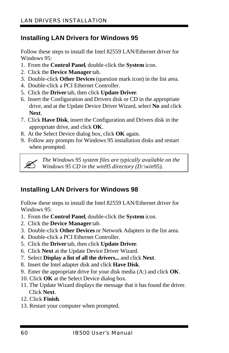# **Installing LAN Drivers for Windows 95**

Follow these steps to install the Intel 82559 LAN/Ethernet driver for Windows 95:

- 1. From the **Control Panel**, double-click the **System** icon.
- 2. Click the **Device Manager** tab.
- 3. Double-click **Other Devices** (question mark icon) in the list area.
- 4. Double-click a PCI Ethernet Controller.
- 5. Click the **Driver** tab, then click **Update Driver**.
- 6. Insert the Configuration and Drivers disk or CD in the appropriate drive, and at the Update Device Driver Wizard, select **No** and click **Next**.
- 7. Click **Have Disk**, insert the Configuration and Drivers disk in the appropriate drive, and click **OK**.
- 8. At the Select Device dialog box, click **OK** again.
- 9. Follow any prompts for Windows 95 installation disks and restart when prompted.



? *The Windows 95 system files are typically available on the Windows 95 CD in the win95 directory (D:\win95).*

# **Installing LAN Drivers for Windows 98**

Follow these steps to install the Intel 82559 LAN/Ethernet driver for Windows 95:

- 1. From the **Control Panel**, double-click the **System** icon.
- 2. Click the **Device Manager** tab.
- 3. Double-click **Other Devices** or Network Adapters in the list area.
- 4. Double-click a PCI Ethernet Controller.
- 5. Click the **Driver** tab, then click **Update Driver**.
- 6. Click **Next** at the Update Device Driver Wizard.
- 7. Select **Display a list of all the drivers...** and click **Next**.
- 8. Insert the Intel adapter disk and click **Have Disk**.
- 9. Enter the appropriate drive for your disk media (A:) and click **OK**.
- 10. Click **OK** at the Select Device dialog box.
- 11. The Update Wizard displays the message that it has found the driver. Click **Next**.
- 12. Click **Finish**.
- 13. Restart your computer when prompted.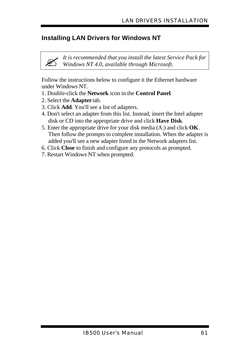## **Installing LAN Drivers for Windows NT**

? *It is recommended that you install the latest Service Pack for Windows NT 4.0, available through Microsoft.*

Follow the instructions below to configure it the Ethernet hardware under Windows NT.

- 1. Double-click the **Network** icon in the **Control Panel**.
- 2. Select the **Adapter** tab.
- 3. Click **Add**. You'll see a list of adapters.
- 4. Don't select an adapter from this list. Instead, insert the Intel adapter disk or CD into the appropriate drive and click **Have Disk**.
- 5. Enter the appropriate drive for your disk media (A:) and click **OK**. Then follow the prompts to complete installation. When the adapter is added you'll see a new adapter listed in the Network adapters list.
- 6. Click **Close** to finish and configure any protocols as prompted.
- 7. Restart Windows NT when prompted.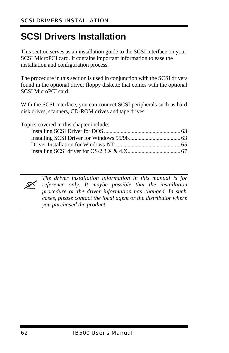# **SCSI Drivers Installation**

This section serves as an installation guide to the SCSI interface on your SCSI MicroPCI card. It contains important information to ease the installation and configuration process.

The procedure in this section is used in conjunction with the SCSI drivers found in the optional driver floppy diskette that comes with the optional SCSI MicroPCI card.

With the SCSI interface, you can connect SCSI peripherals such as hard disk drives, scanners, CD-ROM drives and tape drives.

Topics covered in this chapter include:



*The driver installation information in this manual is for reference only. It maybe possible that the installation procedure or the driver information has changed. In such cases, please contact the local agent or the distributor where you purchased the product.*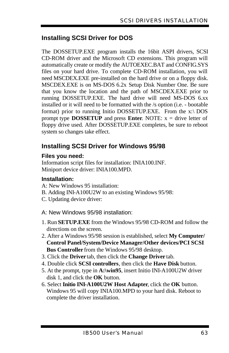## **Installing SCSI Driver for DOS**

The DOSSETUP.EXE program installs the 16bit ASPI drivers, SCSI CD-ROM driver and the Microsoft CD extensions. This program will automatically create or modify the AUTOEXEC.BAT and CONFIG.SYS files on your hard drive. To complete CD-ROM installation, you will need MSCDEX.EXE pre-installed on the hard drive or on a floppy disk. MSCDEX.EXE is on MS-DOS 6.2x Setup Disk Number One. Be sure that you know the location and the path of MSCDEX.EXE prior to running DOSSETUP.EXE. The hard drive will need MS-DOS 6.xx installed or it will need to be formatted with the /s option (i.e. - bootable format) prior to running Initio DOSSETUP.EXE. From the x:\ DOS prompt type **DOSSETUP** and press **Enter**. NOTE:  $x =$  drive letter of floppy drive used. After DOSSETUP.EXE completes, be sure to reboot system so changes take effect.

## **Installing SCSI Driver for Windows 95/98**

#### **Files you need:**

Information script files for installation: INIA100.INF. Miniport device driver: INIA100.MPD.

#### **Installation:**

- A: New Windows 95 installation:
- B. Adding INI-A100U2W to an existing Windows 95/98:
- C. Updating device driver:
- A: New Windows 95/98 installation:
- 1. Run **SETUP.EXE** from the Windows 95/98 CD-ROM and follow the directions on the screen.
- 2. After a Windows 95/98 session is established, select **My Computer/ Control Panel/System/Device Manager/Other devices/PCI SCSI Bus Controller** from the Windows 95/98 desktop.
- 3. Click the **Driver** tab, then click the **Change Driver** tab.
- 4. Double click **SCSI controllers**, then click the **Have Disk** button.
- 5. At the prompt, type in **A:\win95**, insert Initio INI-A100U2W driver disk 1, and click the **OK** button.
- 6. Select **Initio INI-A100U2W Host Adapter**, click the **OK** button. Windows 95 will copy INIA100.MPD to your hard disk. Reboot to complete the driver installation.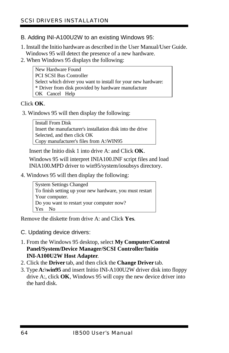- B. Adding INI-A100U2W to an existing Windows 95:
- 1. Install the Initio hardware as described in the User Manual/User Guide. Windows 95 will detect the presence of a new hardware.
- 2. When Windows 95 displays the following:

 New Hardware Found PCI SCSI Bus Controller Select which driver you want to install for your new hardware: \* Driver from disk provided by hardware manufacture OK Cancel Help

#### Click **OK**.

3. Windows 95 will then display the following:

 Install From Disk Insert the manufacturer's installation disk into the drive Selected, and then click OK Copy manufacturer's files from A:\WIN95

Insert the Initio disk 1 into drive A: and Click **OK**.

Windows 95 will interpret INIA100.INF script files and load INIA100.MPD driver to win95/system/iosubsys directory.

4. Windows 95 will then display the following:

| <b>System Settings Changed</b>                           |
|----------------------------------------------------------|
| To finish setting up your new hardware, you must restart |
| Your computer.                                           |
| Do you want to restart your computer now?                |
| Yes No                                                   |

Remove the diskette from drive A: and Click **Yes**.

- C. Updating device drivers:
- 1. From the Windows 95 desktop, select **My Computer/Control Panel/System/Device Manager/SCSI Controller/Initio INI-A100U2W Host Adapter**.
- 2. Click the **Driver** tab, and then click the **Change Driver** tab.
- 3. Type **A:\win95** and insert Initio INI-A100U2W driver disk into floppy drive A:, click **OK**, Windows 95 will copy the new device driver into the hard disk.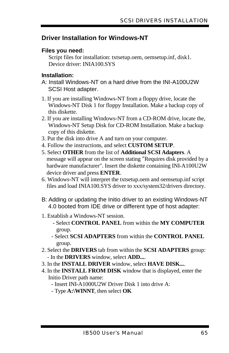## **Driver Installation for Windows-NT**

#### **Files you need:**

 Script files for installation: txtsetup.oem, oemsetup.inf, disk1. Device driver: INIA100.SYS

#### **Installation:**

- A: Install Windows-NT on a hard drive from the INI-A100U2W SCSI Host adapter.
- 1. If you are installing Windows-NT from a floppy drive, locate the Windows-NT Disk 1 for floppy Installation. Make a backup copy of this diskette.
- 2. If you are installing Windows-NT from a CD-ROM drive, locate the, Windows-NT Setup Disk for CD-ROM Installation. Make a backup copy of this diskette.
- 3. Put the disk into drive A and turn on your computer.
- 4. Follow the instructions, and select **CUSTOM SETUP**.
- 5. Select **OTHER** from the list of **Additional SCSI Adapters**. A message will appear on the screen stating "Requires disk provided by a hardware manufacturer". Insert the diskette containing INI-A100U2W device driver and press **ENTER**.
- 6. Windows-NT will interpret the txtsetup.oem and oemsetup.inf script files and load INIA100.SYS driver to xxx/system32/drivers directory.
- B: Adding or updating the Initio driver to an existing Windows-NT 4.0 booted from IDE drive or different type of host adapter:
- 1. Establish a Windows-NT session.
	- Select **CONTROL PANEL** from within the **MY COMPUTER** group.
	- Select **SCSI ADAPTERS** from within the **CONTROL PANEL** group.
- 2. Select the **DRIVERS** tab from within the **SCSI ADAPTERS** group: - In the **DRIVERS** window, select **ADD...**.
- 3. In the **INSTALL DRIVER** window, select **HAVE DISK...**.
- 4. In the **INSTALL FROM DISK** window that is displayed, enter the Initio Driver path name:
	- Insert INI-A1000U2W Driver Disk 1 into drive A:
	- Type **A:\WINNT**, then select **OK**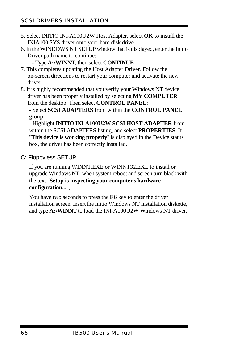- 5. Select INITIO INI-A100U2W Host Adapter, select **OK** to install the INIA100.SYS driver onto your hard disk drive.
- 6. In the WINDOWS NT SETUP window that is displayed, enter the Initio Driver path name to continue:

- Type **A:\WINNT**, then select **CONTINUE**

- 7. This completes updating the Host Adapter Driver. Follow the on-screen directions to restart your computer and activate the new driver.
- 8. It is highly recommended that you verify your Windows NT device driver has been properly installed by selecting **MY COMPUTER** from the desktop. Then select **CONTROL PANEL**:

- Select **SCSI ADAPTERS** from within the **CONTROL PANEL** group

- Highlight **INITIO INI-A100U2W SCSI HOST ADAPTER** from within the SCSI ADAPTERS listing, and select **PROPERTIES**. If "**This device is working properly**" is displayed in the Device status box, the driver has been correctly installed.

C: Floppyless SETUP

If you are running WINNT.EXE or WINNT32.EXE to install or upgrade Windows NT, when system reboot and screen turn black with the text "**Setup is inspecting your computer's hardware configuration...**",

You have two seconds to press the **F6** key to enter the driver installation screen. Insert the Initio Windows NT installation diskette, and type **A:\WINNT** to load the INI-A100U2W Windows NT driver.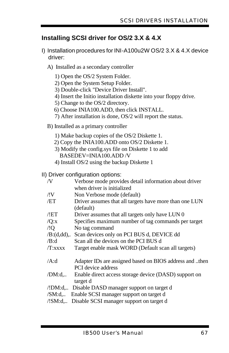## **Installing SCSI driver for OS/2 3.X & 4.X**

- I) Installation procedures for INI-A100u2W OS/2 3.X & 4.X device driver:
	- A) Installed as a secondary controller
		- 1) Open the OS/2 System Folder.
		- 2) Open the System Setup Folder.
		- 3) Double-click "Device Driver Install".
		- 4) Insert the Initio installation diskette into your floppy drive.
		- 5) Change to the OS/2 directory.
		- 6) Choose INIA100.ADD, then click INSTALL.
		- 7) After installation is done, OS/2 will report the status.
	- B) Installed as a primary controller
		- 1) Make backup copies of the OS/2 Diskette 1.
		- 2) Copy the INIA100.ADD onto OS/2 Diskette 1.
		- 3) Modify the config.sys file on Diskette 1 to add BASEDEV=INIA100.ADD /V
		- 4) Install OS/2 using the backup Diskette 1

II) Driver configuration options:

| /V      | Verbose mode provides detail information about driver   |
|---------|---------------------------------------------------------|
|         | when driver is initialized                              |
| /!V     | Non Verbose mode (default)                              |
| /ET     | Driver assumes that all targets have more than one LUN  |
|         | (default)                                               |
| /!ET    | Driver assumes that all targets only have LUN 0         |
| /Q:x    | Specifies maximum number of tag commands per target     |
| /!Q     | No tag command                                          |
|         | /B:(d,dd),. Scan devices only on PCI BUS d, DEVICE dd   |
| /B:d    | Scan all the devices on the PCI BUS d                   |
| /T:xxxx | Target enable mask WORD (Default scan all targets)      |
| /A:d    | Adapter IDs are assigned based on BIOS address and then |
|         | PCI device address                                      |
| /DM: d  | Enable direct access storage device (DASD) support on   |
|         | target d                                                |
|         | /!DM:d, Disable DASD manager support on target d        |
| /SM:d   | Enable SCSI manager support on target d                 |
| /!SM:d  | Disable SCSI manager support on target d                |
|         |                                                         |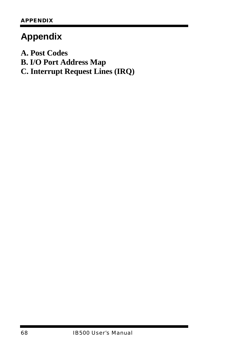# **Appendix**

**A. Post Codes**

**B. I/O Port Address Map**

**C. Interrupt Request Lines (IRQ)**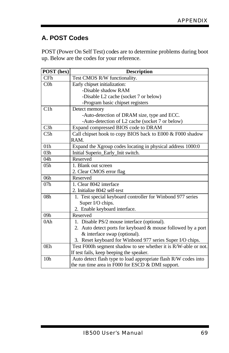## **A. POST Codes**

POST (Power On Self Test) codes are to determine problems during boot up. Below are the codes for your reference.

| POST (hex)      | <b>Description</b>                                              |  |
|-----------------|-----------------------------------------------------------------|--|
| CFh             | Test CMOS R/W functionality.                                    |  |
| $C0$ h          | Early chipset initialization:                                   |  |
|                 | -Disable shadow RAM                                             |  |
|                 | -Disable L2 cache (socket 7 or below)                           |  |
|                 | -Program basic chipset registers                                |  |
| C1h             | Detect memory                                                   |  |
|                 | -Auto-detection of DRAM size, type and ECC.                     |  |
|                 | -Auto-detection of L2 cache (socket 7 or below)                 |  |
| C3h             | Expand compressed BIOS code to DRAM                             |  |
| C <sub>5h</sub> | Call chipset hook to copy BIOS back to E000 & F000 shadow       |  |
|                 | RAM.                                                            |  |
| 01 <sub>h</sub> | Expand the Xgroup codes locating in physical address 1000:0     |  |
| 03h             | Initial Superio_Early_Init switch.                              |  |
| 04h             | Reserved                                                        |  |
| 05h             | 1. Blank out screen                                             |  |
|                 | 2. Clear CMOS error flag                                        |  |
| 06h             | Reserved                                                        |  |
| 07h             | 1. Clear 8042 interface                                         |  |
|                 | 2. Initialize 8042 self-test                                    |  |
| 08 <sub>h</sub> | 1. Test special keyboard controller for Winbond 977 series      |  |
|                 | Super I/O chips.                                                |  |
|                 | 2. Enable keyboard interface.                                   |  |
| 09h             | Reserved                                                        |  |
| 0Ah             | 1. Disable PS/2 mouse interface (optional).                     |  |
|                 | 2. Auto detect ports for keyboard & mouse followed by a port    |  |
|                 | & interface swap (optional).                                    |  |
|                 | 3. Reset keyboard for Winbond 977 series Super I/O chips.       |  |
| 0Eh             | Test F000h segment shadow to see whether it is R/W-able or not. |  |
|                 | If test fails, keep beeping the speaker.                        |  |
| 10 <sub>h</sub> | Auto detect flash type to load appropriate flash R/W codes into |  |
|                 | the run time area in F000 for ESCD $&$ DMI support.             |  |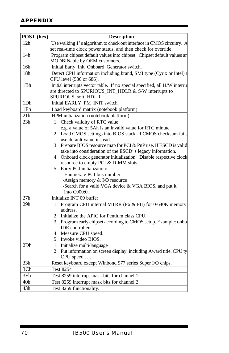| POST (hex)                                                                             | <b>Description</b>                                                         |
|----------------------------------------------------------------------------------------|----------------------------------------------------------------------------|
| 12 <sub>h</sub>                                                                        | Use walking 1's algorithm to check out interface in CMOS circuitry. A      |
|                                                                                        | set real-time clock power status, and then check for override.             |
| 14h                                                                                    | Program chipset default values into chipset. Chipset default values are    |
|                                                                                        | MODBINable by OEM customers.                                               |
| 16h                                                                                    | Initial Early_Init_Onboard_Generator switch.                               |
| 18 <sub>h</sub><br>Detect CPU information including brand, SMI type (Cyrix or Intel) a |                                                                            |
|                                                                                        | CPU level (586 or 686).                                                    |
| 1Bh                                                                                    | Initial interrupts vector table. If no special specified, all H/W interrup |
|                                                                                        | are directed to SPURIOUS_INT_HDLR & S/W interrupts to                      |
|                                                                                        | SPURIOUS_soft_HDLR.                                                        |
| 1Dh                                                                                    | Initial EARLY_PM_INIT switch.                                              |
| 1Fh                                                                                    | Load keyboard matrix (notebook platform)                                   |
| 21h                                                                                    | HPM initialization (notebook platform)                                     |
| 23h                                                                                    | 1. Check validity of RTC value:                                            |
|                                                                                        | e.g. a value of 5Ah is an invalid value for RTC minute.                    |
|                                                                                        | 2. Load CMOS settings into BIOS stack. If CMOS checksum fails              |
|                                                                                        | use default value instead.                                                 |
|                                                                                        | 3. Prepare BIOS resource map for PCI & PnP use. If ESCD is valid           |
|                                                                                        | take into consideration of the ESCD's legacy information.                  |
|                                                                                        | 4. Onboard clock generator initialization. Disable respective clock        |
|                                                                                        | resource to empty PCI & DIMM slots.                                        |
|                                                                                        | 5. Early PCI initialization:                                               |
|                                                                                        | -Enumerate PCI bus number                                                  |
|                                                                                        | -Assign memory & I/O resource                                              |
|                                                                                        | -Search for a valid VGA device & VGA BIOS, and put it                      |
| 27h                                                                                    | into C000:0.<br>Initialize INT 09 buffer                                   |
|                                                                                        |                                                                            |
| $\overline{29h}$                                                                       | 1. Program CPU internal MTRR (P6 & PII) for 0-640K memory                  |
|                                                                                        | address.<br>2. Initialize the APIC for Pentium class CPU.                  |
|                                                                                        | 3. Program early chipset according to CMOS setup. Example: onbo            |
|                                                                                        | IDE controller.                                                            |
|                                                                                        | 4. Measure CPU speed.                                                      |
|                                                                                        | 5. Invoke video BIOS.                                                      |
| 2Dh                                                                                    | 1. Initialize multi-language                                               |
|                                                                                        | 2. Put information on screen display, including Award title, CPU ty        |
|                                                                                        | CPU speed                                                                  |
| 33h                                                                                    | Reset keyboard except Winbond 977 series Super I/O chips.                  |
| 3 <sub>Ch</sub>                                                                        | <b>Test 8254</b>                                                           |
| 3Eh                                                                                    | Test 8259 interrupt mask bits for channel 1.                               |
| 40 <sub>h</sub>                                                                        | Test 8259 interrupt mask bits for channel 2.                               |
| 43h                                                                                    | Test 8259 functionality.                                                   |
|                                                                                        |                                                                            |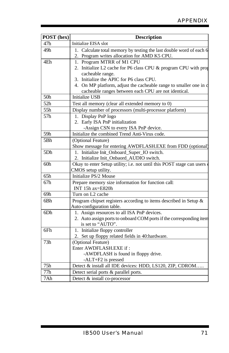| POST (hex)      | <b>Description</b>                                                                       |  |
|-----------------|------------------------------------------------------------------------------------------|--|
| 47h             | Initialize EISA slot                                                                     |  |
| 49h             | 1. Calculate total memory by testing the last double word of each 6                      |  |
|                 | 2. Program writes allocation for AMD K5 CPU.                                             |  |
| 4Eh             | 1. Program MTRR of M1 CPU                                                                |  |
|                 | 2. Initialize L2 cache for P6 class CPU & program CPU with prop                          |  |
|                 | cacheable range.                                                                         |  |
|                 | 3. Initialize the APIC for P6 class CPU.                                                 |  |
|                 | 4. On MP platform, adjust the cacheable range to smaller one in c                        |  |
|                 | cacheable ranges between each CPU are not identical.                                     |  |
| 50 <sub>h</sub> | <b>Initialize USB</b>                                                                    |  |
| 52h             | Test all memory (clear all extended memory to 0)                                         |  |
| 55h             | Display number of processors (multi-processor platform)                                  |  |
| 57h             | 1. Display PnP logo                                                                      |  |
|                 | 2. Early ISA PnP initialization                                                          |  |
|                 | -Assign CSN to every ISA PnP device.                                                     |  |
| 59h             | Initialize the combined Trend Anti-Virus code.                                           |  |
| 5Bh             | (Optional Feature)                                                                       |  |
|                 | Show message for entering AWDFLASH.EXE from FDD (optional)                               |  |
| 5Dh             | 1. Initialize Init_Onboard_Super_IO switch.                                              |  |
|                 | 2. Initialize Init Onbaord AUDIO switch.                                                 |  |
| 60h             | Okay to enter Setup utility; i.e. not until this POST stage can users                    |  |
|                 | CMOS setup utility.                                                                      |  |
| 65h             | Initialize PS/2 Mouse                                                                    |  |
| 67h             | Prepare memory size information for function call:                                       |  |
|                 | INT 15h ax=E820h                                                                         |  |
| 69h             | Turn on L2 cache                                                                         |  |
| 6 <sub>Bh</sub> | Program chipset registers according to items described in Setup $\&$                     |  |
|                 | Auto-configuration table.                                                                |  |
| 6Dh             | 1. Assign resources to all ISA PnP devices.                                              |  |
|                 | 2. Auto assign ports to onboard COM ports if the corresponding item<br>is set to "AUTO". |  |
| 6Fh             |                                                                                          |  |
|                 | 1. Initialize floppy controller                                                          |  |
| 73h             | 2. Set up floppy related fields in 40:hardware.<br>(Optional Feature)                    |  |
|                 | Enter AWDFLASH.EXE if:                                                                   |  |
|                 | -AWDFLASH is found in floppy drive.                                                      |  |
|                 | -ALT+F2 is pressed                                                                       |  |
| 75h             | Detect & install all IDE devices: HDD, LS120, ZIP, CDROM                                 |  |
| 77h             | Detect serial ports & parallel ports.                                                    |  |
| 7Ah             | Detect & install co-processor                                                            |  |
|                 |                                                                                          |  |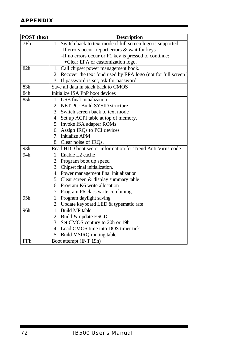| POST (hex) | <b>Description</b>                                              |  |
|------------|-----------------------------------------------------------------|--|
| 7Fh        | 1. Switch back to text mode if full screen logo is supported.   |  |
|            | -If errors occur, report errors & wait for keys                 |  |
|            | -If no errors occur or F1 key is pressed to continue:           |  |
|            | • Clear EPA or customization logo.                              |  |
| 82h        | 1. Call chipset power management hook.                          |  |
|            | 2. Recover the text fond used by EPA logo (not for full screen) |  |
|            | 3. If password is set, ask for password.                        |  |
| 83h        | Save all data in stack back to CMOS                             |  |
| 84h        | Initialize ISA PnP boot devices                                 |  |
| 85h        | 1. USB final Initialization                                     |  |
|            | 2. NET PC: Build SYSID structure                                |  |
|            | 3. Switch screen back to text mode                              |  |
|            | 4. Set up ACPI table at top of memory.                          |  |
|            | 5. Invoke ISA adapter ROMs                                      |  |
|            | 6. Assign IRQs to PCI devices                                   |  |
|            | 7. Initialize APM                                               |  |
|            | 8. Clear noise of IRQs.                                         |  |
| 93h        | Read HDD boot sector information for Trend Anti-Virus code      |  |
| 94h        | 1. Enable L2 cache                                              |  |
|            | 2. Program boot up speed                                        |  |
|            | 3. Chipset final initialization.                                |  |
|            | 4. Power management final initialization                        |  |
|            | 5. Clear screen & display summary table                         |  |
|            | 6. Program K6 write allocation                                  |  |
|            | 7. Program P6 class write combining                             |  |
| 95h        | 1. Program daylight saving                                      |  |
|            | 2. Update keyboard LED & typematic rate                         |  |
| 96h        | 1. Build MP table                                               |  |
|            | 2. Build & update ESCD                                          |  |
|            | 3. Set CMOS century to 20h or 19h                               |  |
|            | 4. Load CMOS time into DOS timer tick                           |  |
|            | 5. Build MSIRQ routing table.                                   |  |
| FFh        | Boot attempt (INT 19h)                                          |  |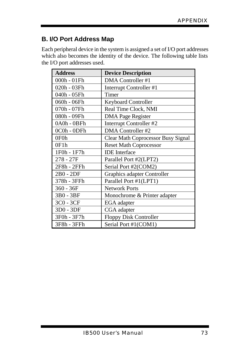## **B. I/O Port Address Map**

Each peripheral device in the system is assigned a set of I/O port addresses which also becomes the identity of the device. The following table lists the I/O port addresses used.

| <b>Address</b> | <b>Device Description</b>          |
|----------------|------------------------------------|
| 000h - 01Fh    | DMA Controller #1                  |
| 020h - 03Fh    | Interrupt Controller #1            |
| 040h - 05Fh    | Timer                              |
| 060h - 06Fh    | <b>Keyboard Controller</b>         |
| 070h - 07Fh    | Real Time Clock, NMI               |
| 080h - 09Fh    | <b>DMA</b> Page Register           |
| 0A0h - 0BFh    | Interrupt Controller #2            |
| 0C0h - 0DFh    | DMA Controller #2                  |
| 0F0h           | Clear Math Coprocessor Busy Signal |
| 0F1h           | <b>Reset Math Coprocessor</b>      |
| 1F0h - 1F7h    | <b>IDE</b> Interface               |
| 278 - 27F      | Parallel Port #2(LPT2)             |
| 2F8h - 2FFh    | Serial Port #2(COM2)               |
| 2B0 - 2DF      | Graphics adapter Controller        |
| 378h - 3FFh    | Parallel Port #1(LPT1)             |
| $360 - 36F$    | <b>Network Ports</b>               |
| 3B0 - 3BF      | Monochrome & Printer adapter       |
| 3C0 - 3CF      | EGA adapter                        |
| 3D0 - 3DF      | CGA adapter                        |
| 3F0h - 3F7h    | <b>Floppy Disk Controller</b>      |
| 3F8h - 3FFh    | Serial Port #1(COM1)               |